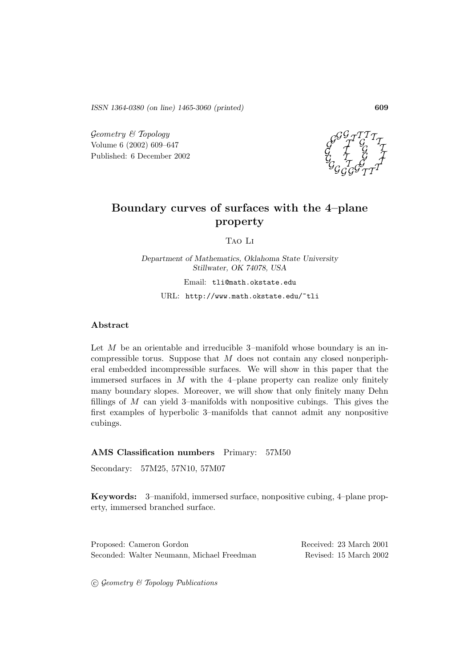*ISSN 1364-0380 (on line) 1465-3060 (printed)* **609**

Geometry & Topology Volume 6 (2002) 609–647 Published: 6 December 2002



# **Boundary curves of surfaces with the 4–plane property**

Tao Li

*Department of Mathematics, Oklahoma State University Stillwater, OK 74078, USA* Email: tli@math.okstate.edu

URL: http://www.math.okstate.edu/~tli

### **Abstract**

Let  $M$  be an orientable and irreducible 3–manifold whose boundary is an incompressible torus. Suppose that  $M$  does not contain any closed nonperipheral embedded incompressible surfaces. We will show in this paper that the immersed surfaces in  $M$  with the 4–plane property can realize only finitely many boundary slopes. Moreover, we will show that only finitely many Dehn fillings of  $M$  can yield 3–manifolds with nonpositive cubings. This gives the first examples of hyperbolic 3–manifolds that cannot admit any nonpositive cubings.

### **AMS Classification numbers** Primary: 57M50

Secondary: 57M25, 57N10, 57M07

**Keywords:** 3–manifold, immersed surface, nonpositive cubing, 4–plane property, immersed branched surface.

| Proposed: Cameron Gordon                   | Received: 23 March 2001 |  |  |
|--------------------------------------------|-------------------------|--|--|
| Seconded: Walter Neumann, Michael Freedman | Revised: 15 March 2002  |  |  |

 $\odot$  Geometry  $\&$  Topology Publications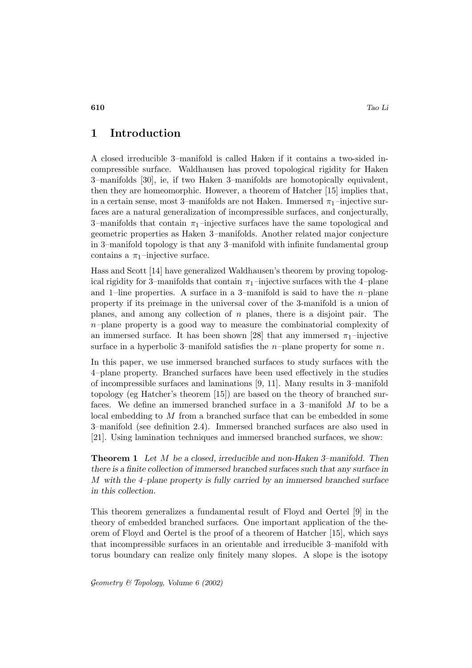## **1 Introduction**

A closed irreducible 3–manifold is called Haken if it contains a two-sided incompressible surface. Waldhausen has proved topological rigidity for Haken 3–manifolds [30], ie, if two Haken 3–manifolds are homotopically equivalent, then they are homeomorphic. However, a theorem of Hatcher [15] implies that, in a certain sense, most 3–manifolds are not Haken. Immersed  $\pi_1$ –injective surfaces are a natural generalization of incompressible surfaces, and conjecturally, 3–manifolds that contain  $\pi_1$ –injective surfaces have the same topological and geometric properties as Haken 3–manifolds. Another related major conjecture in 3–manifold topology is that any 3–manifold with infinite fundamental group contains a  $\pi_1$ -injective surface.

Hass and Scott [14] have generalized Waldhausen's theorem by proving topological rigidity for 3–manifolds that contain  $\pi_1$ –injective surfaces with the 4–plane and 1–line properties. A surface in a 3–manifold is said to have the  $n$ –plane property if its preimage in the universal cover of the 3-manifold is a union of planes, and among any collection of  $n$  planes, there is a disjoint pair. The  $n$ –plane property is a good way to measure the combinatorial complexity of an immersed surface. It has been shown [28] that any immersed  $\pi_1$ -injective surface in a hyperbolic 3–manifold satisfies the  $n$ –plane property for some  $n$ .

In this paper, we use immersed branched surfaces to study surfaces with the 4–plane property. Branched surfaces have been used effectively in the studies of incompressible surfaces and laminations [9, 11]. Many results in 3–manifold topology (eg Hatcher's theorem [15]) are based on the theory of branched surfaces. We define an immersed branched surface in a 3–manifold M to be a local embedding to M from a branched surface that can be embedded in some 3–manifold (see definition 2.4). Immersed branched surfaces are also used in [21]. Using lamination techniques and immersed branched surfaces, we show:

**Theorem 1** *Let* M *be a closed, irreducible and non-Haken 3–manifold. Then there is a finite collection of immersed branched surfaces such that any surface in* M *with the 4–plane property is fully carried by an immersed branched surface in this collection.*

This theorem generalizes a fundamental result of Floyd and Oertel [9] in the theory of embedded branched surfaces. One important application of the theorem of Floyd and Oertel is the proof of a theorem of Hatcher [15], which says that incompressible surfaces in an orientable and irreducible 3–manifold with torus boundary can realize only finitely many slopes. A slope is the isotopy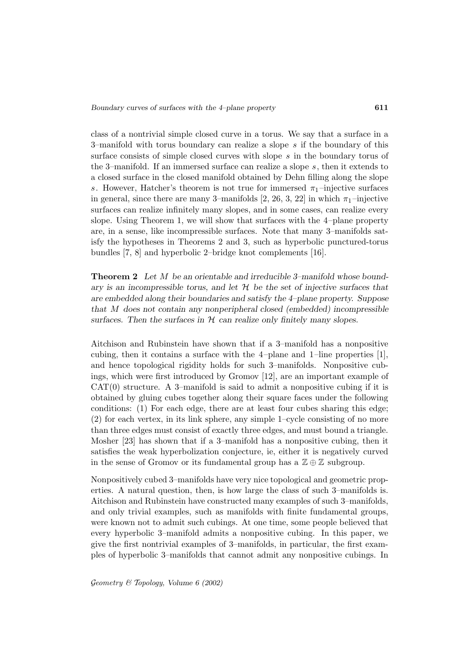class of a nontrivial simple closed curve in a torus. We say that a surface in a 3–manifold with torus boundary can realize a slope s if the boundary of this surface consists of simple closed curves with slope s in the boundary torus of the 3–manifold. If an immersed surface can realize a slope s, then it extends to a closed surface in the closed manifold obtained by Dehn filling along the slope s. However, Hatcher's theorem is not true for immersed  $\pi_1$ -injective surfaces in general, since there are many 3–manifolds [2, 26, 3, 22] in which  $\pi_1$ –injective surfaces can realize infinitely many slopes, and in some cases, can realize every slope. Using Theorem 1, we will show that surfaces with the 4–plane property are, in a sense, like incompressible surfaces. Note that many 3–manifolds satisfy the hypotheses in Theorems 2 and 3, such as hyperbolic punctured-torus bundles [7, 8] and hyperbolic 2–bridge knot complements [16].

**Theorem 2** *Let* M *be an orientable and irreducible 3–manifold whose boundary is an incompressible torus, and let* H *be the set of injective surfaces that are embedded along their boundaries and satisfy the 4–plane property. Suppose that* M *does not contain any nonperipheral closed (embedded) incompressible surfaces. Then the surfaces in* H *can realize only finitely many slopes.*

Aitchison and Rubinstein have shown that if a 3–manifold has a nonpositive cubing, then it contains a surface with the 4–plane and 1–line properties [1], and hence topological rigidity holds for such 3–manifolds. Nonpositive cubings, which were first introduced by Gromov [12], are an important example of  $CAT(0)$  structure. A 3-manifold is said to admit a nonpositive cubing if it is obtained by gluing cubes together along their square faces under the following conditions: (1) For each edge, there are at least four cubes sharing this edge; (2) for each vertex, in its link sphere, any simple 1–cycle consisting of no more than three edges must consist of exactly three edges, and must bound a triangle. Mosher [23] has shown that if a 3–manifold has a nonpositive cubing, then it satisfies the weak hyperbolization conjecture, ie, either it is negatively curved in the sense of Gromov or its fundamental group has a  $\mathbb{Z} \oplus \mathbb{Z}$  subgroup.

Nonpositively cubed 3–manifolds have very nice topological and geometric properties. A natural question, then, is how large the class of such 3–manifolds is. Aitchison and Rubinstein have constructed many examples of such 3–manifolds, and only trivial examples, such as manifolds with finite fundamental groups, were known not to admit such cubings. At one time, some people believed that every hyperbolic 3–manifold admits a nonpositive cubing. In this paper, we give the first nontrivial examples of 3–manifolds, in particular, the first examples of hyperbolic 3–manifolds that cannot admit any nonpositive cubings. In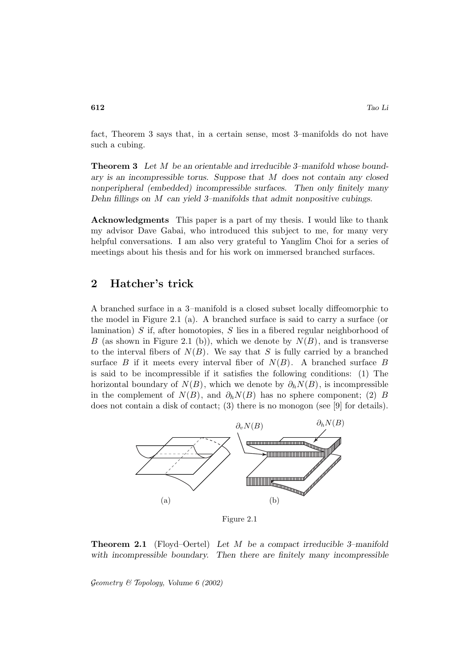fact, Theorem 3 says that, in a certain sense, most 3–manifolds do not have such a cubing.

**Theorem 3** *Let* M *be an orientable and irreducible 3–manifold whose boundary is an incompressible torus. Suppose that* M *does not contain any closed nonperipheral (embedded) incompressible surfaces. Then only finitely many Dehn fillings on* M *can yield 3–manifolds that admit nonpositive cubings.*

**Acknowledgments** This paper is a part of my thesis. I would like to thank my advisor Dave Gabai, who introduced this subject to me, for many very helpful conversations. I am also very grateful to Yanglim Choi for a series of meetings about his thesis and for his work on immersed branched surfaces.

## **2 Hatcher's trick**

A branched surface in a 3–manifold is a closed subset locally diffeomorphic to the model in Figure 2.1 (a). A branched surface is said to carry a surface (or lamination) S if, after homotopies, S lies in a fibered regular neighborhood of B (as shown in Figure 2.1 (b)), which we denote by  $N(B)$ , and is transverse to the interval fibers of  $N(B)$ . We say that S is fully carried by a branched surface B if it meets every interval fiber of  $N(B)$ . A branched surface B is said to be incompressible if it satisfies the following conditions: (1) The horizontal boundary of  $N(B)$ , which we denote by  $\partial_h N(B)$ , is incompressible in the complement of  $N(B)$ , and  $\partial_h N(B)$  has no sphere component; (2) B does not contain a disk of contact; (3) there is no monogon (see [9] for details).



Figure 2.1

**Theorem 2.1** (Floyd–Oertel) *Let* M *be a compact irreducible 3–manifold with incompressible boundary. Then there are finitely many incompressible*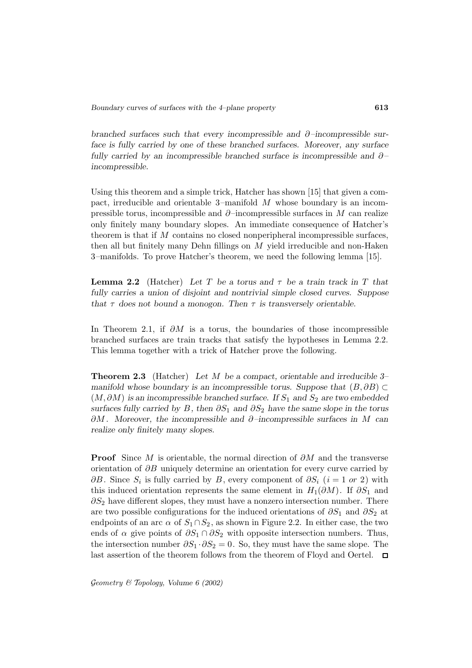*branched surfaces such that every incompressible and* ∂*–incompressible surface is fully carried by one of these branched surfaces. Moreover, any surface fully carried by an incompressible branched surface is incompressible and* ∂*– incompressible.*

Using this theorem and a simple trick, Hatcher has shown [15] that given a compact, irreducible and orientable 3–manifold  $M$  whose boundary is an incompressible torus, incompressible and  $\partial$ –incompressible surfaces in M can realize only finitely many boundary slopes. An immediate consequence of Hatcher's theorem is that if  $M$  contains no closed nonperipheral incompressible surfaces, then all but finitely many Dehn fillings on  $M$  yield irreducible and non-Haken 3–manifolds. To prove Hatcher's theorem, we need the following lemma [15].

**Lemma 2.2** (Hatcher) *Let* T *be a torus and* τ *be a train track in* T *that fully carries a union of disjoint and nontrivial simple closed curves. Suppose that*  $\tau$  *does not bound a monogon. Then*  $\tau$  *is transversely orientable.* 

In Theorem 2.1, if  $\partial M$  is a torus, the boundaries of those incompressible branched surfaces are train tracks that satisfy the hypotheses in Lemma 2.2. This lemma together with a trick of Hatcher prove the following.

**Theorem 2.3** (Hatcher) *Let* M *be a compact, orientable and irreducible 3– manifold whose boundary is an incompressible torus. Suppose that*  $(B, \partial B)$  ⊂  $(M, \partial M)$  *is an incompressible branched surface. If*  $S_1$  *and*  $S_2$  *are two embedded surfaces fully carried by* B, then  $\partial S_1$  *and*  $\partial S_2$  *have the same slope in the torus* ∂M *. Moreover, the incompressible and* ∂*–incompressible surfaces in* M *can realize only finitely many slopes.*

**Proof** Since M is orientable, the normal direction of ∂M and the transverse orientation of  $\partial B$  uniquely determine an orientation for every curve carried by  $\partial B$ . Since  $S_i$  is fully carried by B, every component of  $\partial S_i$   $(i = 1 \text{ or } 2)$  with this induced orientation represents the same element in  $H_1(\partial M)$ . If  $\partial S_1$  and  $\partial S_2$  have different slopes, they must have a nonzero intersection number. There are two possible configurations for the induced orientations of  $\partial S_1$  and  $\partial S_2$  at endpoints of an arc  $\alpha$  of  $S_1 \cap S_2$ , as shown in Figure 2.2. In either case, the two ends of  $\alpha$  give points of  $\partial S_1 \cap \partial S_2$  with opposite intersection numbers. Thus, the intersection number  $\partial S_1 \cdot \partial S_2 = 0$ . So, they must have the same slope. The last assertion of the theorem follows from the theorem of Floyd and Oertel.  $\square$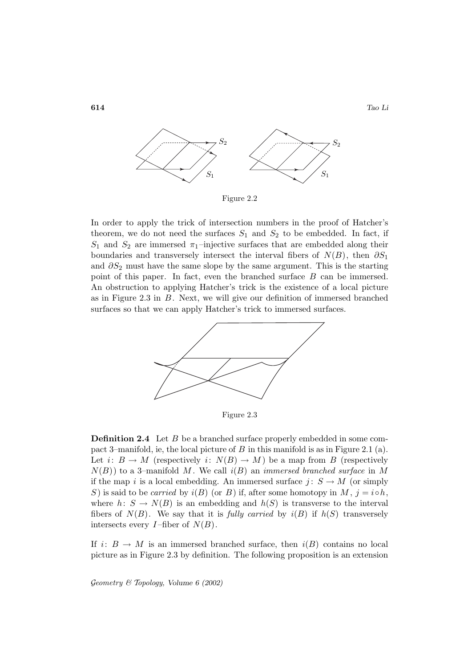**614** *Tao Li*



Figure 2.2

In order to apply the trick of intersection numbers in the proof of Hatcher's theorem, we do not need the surfaces  $S_1$  and  $S_2$  to be embedded. In fact, if  $S_1$  and  $S_2$  are immersed  $\pi_1$ -injective surfaces that are embedded along their boundaries and transversely intersect the interval fibers of  $N(B)$ , then  $\partial S_1$ and  $\partial S_2$  must have the same slope by the same argument. This is the starting point of this paper. In fact, even the branched surface B can be immersed. An obstruction to applying Hatcher's trick is the existence of a local picture as in Figure 2.3 in B. Next, we will give our definition of immersed branched surfaces so that we can apply Hatcher's trick to immersed surfaces.



Figure 2.3

**Definition 2.4** Let B be a branched surface properly embedded in some compact 3–manifold, ie, the local picture of B in this manifold is as in Figure 2.1 (a). Let  $i: B \to M$  (respectively  $i: N(B) \to M$ ) be a map from B (respectively  $N(B)$ ) to a 3-manifold M. We call  $i(B)$  an *immersed branched surface* in M if the map i is a local embedding. An immersed surface  $j: S \to M$  (or simply S) is said to be *carried* by  $i(B)$  (or B) if, after some homotopy in M,  $j = i \circ h$ , where  $h: S \to N(B)$  is an embedding and  $h(S)$  is transverse to the interval fibers of  $N(B)$ . We say that it is *fully carried* by  $i(B)$  if  $h(S)$  transversely intersects every  $I$ -fiber of  $N(B)$ .

If  $i: B \to M$  is an immersed branched surface, then  $i(B)$  contains no local picture as in Figure 2.3 by definition. The following proposition is an extension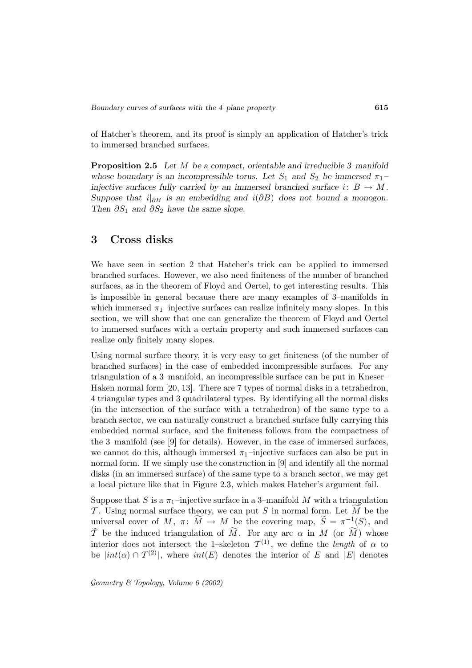of Hatcher's theorem, and its proof is simply an application of Hatcher's trick to immersed branched surfaces.

**Proposition 2.5** *Let* M *be a compact, orientable and irreducible 3–manifold whose boundary is an incompressible torus. Let*  $S_1$  *and*  $S_2$  *be immersed*  $\pi_1$ *injective surfaces fully carried by an immersed branched surface*  $i: B \to M$ . *Suppose that*  $i|_{\partial B}$  *is an embedding and*  $i(\partial B)$  *does not bound a monogon. Then*  $\partial S_1$  *and*  $\partial S_2$  *have the same slope.* 

## **3 Cross disks**

We have seen in section 2 that Hatcher's trick can be applied to immersed branched surfaces. However, we also need finiteness of the number of branched surfaces, as in the theorem of Floyd and Oertel, to get interesting results. This is impossible in general because there are many examples of 3–manifolds in which immersed  $\pi_1$ -injective surfaces can realize infinitely many slopes. In this section, we will show that one can generalize the theorem of Floyd and Oertel to immersed surfaces with a certain property and such immersed surfaces can realize only finitely many slopes.

Using normal surface theory, it is very easy to get finiteness (of the number of branched surfaces) in the case of embedded incompressible surfaces. For any triangulation of a 3–manifold, an incompressible surface can be put in Kneser– Haken normal form [20, 13]. There are 7 types of normal disks in a tetrahedron, 4 triangular types and 3 quadrilateral types. By identifying all the normal disks (in the intersection of the surface with a tetrahedron) of the same type to a branch sector, we can naturally construct a branched surface fully carrying this embedded normal surface, and the finiteness follows from the compactness of the 3–manifold (see [9] for details). However, in the case of immersed surfaces, we cannot do this, although immersed  $\pi_1$ -injective surfaces can also be put in normal form. If we simply use the construction in [9] and identify all the normal disks (in an immersed surface) of the same type to a branch sector, we may get a local picture like that in Figure 2.3, which makes Hatcher's argument fail.

Suppose that S is a  $\pi_1$ -injective surface in a 3-manifold M with a triangulation T. Using normal surface theory, we can put S in normal form. Let M be the universal cover of M,  $\pi: \widetilde{M} \to M$  be the covering map,  $\widetilde{S} = \pi^{-1}(S)$ , and T be the induced triangulation of M. For any arc  $\alpha$  in M (or M) whose interior does not intersect the 1–skeleton  $\mathcal{T}^{(1)}$ , we define the *length* of  $\alpha$  to be  $|int(\alpha) \cap T^{(2)}|$ , where  $int(E)$  denotes the interior of E and  $|E|$  denotes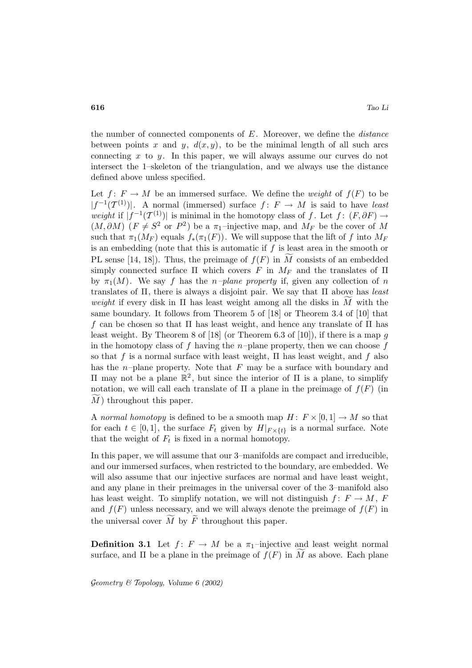the number of connected components of  $E$ . Moreover, we define the *distance* between points x and y,  $d(x, y)$ , to be the minimal length of all such arcs connecting  $x$  to  $y$ . In this paper, we will always assume our curves do not intersect the 1–skeleton of the triangulation, and we always use the distance defined above unless specified.

Let  $f: F \to M$  be an immersed surface. We define the *weight* of  $f(F)$  to be  $|f^{-1}(T^{(1)})|$ . A normal (immersed) surface  $f: F \to M$  is said to have least weight if  $|f^{-1}(\mathcal{T}^{(1)})|$  is minimal in the homotopy class of f. Let  $f: (F, \partial F) \to$  $(M, \partial M)$  ( $F \neq S^2$  or  $P^2$ ) be a  $\pi_1$ -injective map, and  $M_F$  be the cover of M such that  $\pi_1(M_F)$  equals  $f_*(\pi_1(F))$ . We will suppose that the lift of f into  $M_F$ is an embedding (note that this is automatic if  $f$  is least area in the smooth or PL sense [14, 18]). Thus, the preimage of  $f(F)$  in M consists of an embedded simply connected surface  $\Pi$  which covers F in  $M_F$  and the translates of  $\Pi$ by  $\pi_1(M)$ . We say f has the *n–plane property* if, given any collection of *n* translates of  $\Pi$ , there is always a disjoint pair. We say that  $\Pi$  above has *least* weight if every disk in  $\Pi$  has least weight among all the disks in  $M$  with the same boundary. It follows from Theorem 5 of [18] or Theorem 3.4 of [10] that f can be chosen so that  $\Pi$  has least weight, and hence any translate of  $\Pi$  has least weight. By Theorem 8 of [18] (or Theorem 6.3 of [10]), if there is a map  $q$ in the homotopy class of f having the n–plane property, then we can choose  $f$ so that f is a normal surface with least weight,  $\Pi$  has least weight, and f also has the *n*-plane property. Note that  $F$  may be a surface with boundary and Π may not be a plane R<sup>2</sup> , but since the interior of Π is a plane, to simplify notation, we will call each translate of  $\Pi$  a plane in the preimage of  $f(F)$  (in M) throughout this paper.

A normal homotopy is defined to be a smooth map  $H: F \times [0,1] \to M$  so that for each  $t \in [0,1]$ , the surface  $F_t$  given by  $H|_{F \times \{t\}}$  is a normal surface. Note that the weight of  $F_t$  is fixed in a normal homotopy.

In this paper, we will assume that our 3–manifolds are compact and irreducible, and our immersed surfaces, when restricted to the boundary, are embedded. We will also assume that our injective surfaces are normal and have least weight, and any plane in their preimages in the universal cover of the 3–manifold also has least weight. To simplify notation, we will not distinguish  $f: F \to M$ , F and  $f(F)$  unless necessary, and we will always denote the preimage of  $f(F)$  in the universal cover  $M$  by  $F$  throughout this paper.

**Definition 3.1** Let  $f: F \to M$  be a  $\pi_1$ -injective and least weight normal surface, and  $\Pi$  be a plane in the preimage of  $f(F)$  in M as above. Each plane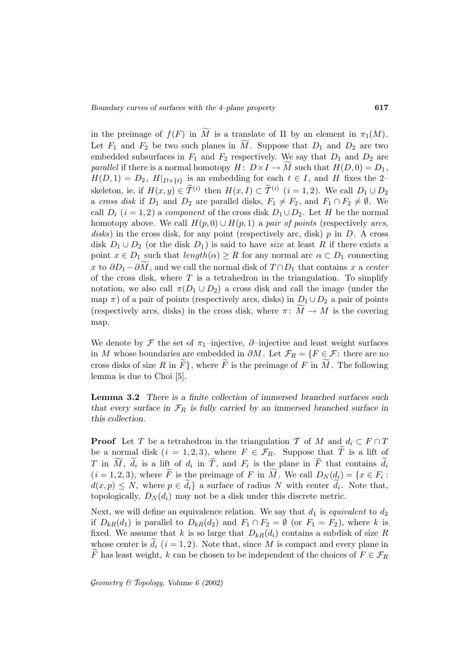in the preimage of  $f(F)$  in M is a translate of  $\Pi$  by an element in  $\pi_1(M)$ . Let  $F_1$  and  $F_2$  be two such planes in M. Suppose that  $D_1$  and  $D_2$  are two embedded subsurfaces in  $F_1$  and  $F_2$  respectively. We say that  $D_1$  and  $D_2$  are parallel if there is a normal homotopy  $H: D \times I \to M$  such that  $H(D, 0) = D_1$ ,  $H(D, 1) = D_2$ ,  $H|_{D \times \{t\}}$  is an embedding for each  $t \in I$ , and H fixes the 2skeleton, ie, if  $H(x, y) \in \tilde{\mathcal{T}}^{(i)}$  then  $H(x, I) \subset \tilde{\mathcal{T}}^{(i)}$   $(i = 1, 2)$ . We call  $D_1 \cup D_2$ a cross disk if  $D_1$  and  $D_2$  are parallel disks,  $F_1 \neq F_2$ , and  $F_1 \cap F_2 \neq \emptyset$ . We call  $D_i$  (i = 1, 2) a component of the cross disk  $D_1 \cup D_2$ . Let H be the normal homotopy above. We call  $H(p, 0) \cup H(p, 1)$  a pair of points (respectively arcs, disks) in the cross disk, for any point (respectively arc, disk)  $p$  in  $D$ . A cross disk  $D_1 \cup D_2$  (or the disk  $D_1$ ) is said to have *size* at least R if there exists a point  $x \in D_1$  such that  $length(\alpha) \geq R$  for any normal arc  $\alpha \subset D_1$  connecting x to  $\partial D_1 - \partial M$ , and we call the normal disk of  $T \cap D_1$  that contains x a center of the cross disk, where  $T$  is a tetrahedron in the triangulation. To simplify notation, we also call  $\pi(D_1 \cup D_2)$  a cross disk and call the image (under the map  $\pi$ ) of a pair of points (respectively arcs, disks) in  $D_1 \cup D_2$  a pair of points (respectively arcs, disks) in the cross disk, where  $\pi$ :  $M \to M$  is the covering map.

We denote by  $\mathcal F$  the set of  $\pi_1$ –injective,  $\partial$ –injective and least weight surfaces in M whose boundaries are embedded in  $\partial M$ . Let  $\mathcal{F}_R = \{F \in \mathcal{F} : \text{there are no}\}$ cross disks of size R in  $F$ , where F is the preimage of F in M. The following lemma is due to Choi [5].

**Lemma 3.2** *There is a finite collection of immersed branched surfaces such* that every surface in  $\mathcal{F}_R$  is fully carried by an immersed branched surface in *this collection.*

**Proof** Let T be a tetrahedron in the triangulation T of M and  $d_i \,\subset F \cap T$ be a normal disk  $(i = 1, 2, 3)$ , where  $F \in \mathcal{F}_R$ . Suppose that  $\widetilde{T}$  is a lift of T in M,  $d_i$  is a lift of  $d_i$  in T, and  $F_i$  is the plane in F that contains  $d_i$  $(i = 1, 2, 3)$ , where F is the preimage of F in M. We call  $D_N(d_i) = \{x \in F_i :$  $d(x, p) \leq N$ , where  $p \in d_i$  a surface of radius N with center  $d_i$ . Note that, topologically,  $D_N(d_i)$  may not be a disk under this discrete metric.

Next, we will define an equivalence relation. We say that  $d_1$  is *equivalent* to  $d_2$ if  $D_{kR}(d_1)$  is parallel to  $D_{kR}(d_2)$  and  $F_1 \cap F_2 = \emptyset$  (or  $F_1 = F_2$ ), where k is fixed. We assume that k is so large that  $D_{kR}(d_i)$  contains a subdisk of size R whose center is  $d_i$  ( $i = 1, 2$ ). Note that, since M is compact and every plane in F has least weight, k can be chosen to be independent of the choices of  $F \in \mathcal{F}_R$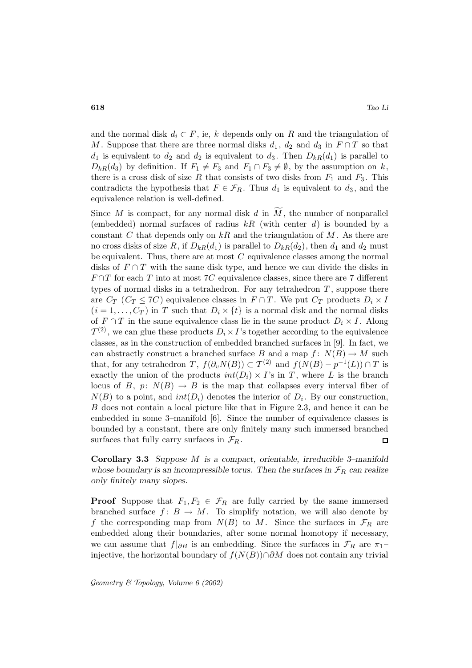and the normal disk  $d_i \subset F$ , ie, k depends only on R and the triangulation of M. Suppose that there are three normal disks  $d_1, d_2$  and  $d_3$  in  $F \cap T$  so that  $d_1$  is equivalent to  $d_2$  and  $d_2$  is equivalent to  $d_3$ . Then  $D_{kR}(d_1)$  is parallel to  $D_{kR}(d_3)$  by definition. If  $F_1 \neq F_3$  and  $F_1 \cap F_3 \neq \emptyset$ , by the assumption on k, there is a cross disk of size R that consists of two disks from  $F_1$  and  $F_3$ . This contradicts the hypothesis that  $F \in \mathcal{F}_R$ . Thus  $d_1$  is equivalent to  $d_3$ , and the equivalence relation is well-defined.

Since  $M$  is compact, for any normal disk  $d$  in  $M$ , the number of nonparallel (embedded) normal surfaces of radius  $kR$  (with center d) is bounded by a constant C that depends only on kR and the triangulation of M. As there are no cross disks of size R, if  $D_{kR}(d_1)$  is parallel to  $D_{kR}(d_2)$ , then  $d_1$  and  $d_2$  must be equivalent. Thus, there are at most  $C$  equivalence classes among the normal disks of  $F \cap T$  with the same disk type, and hence we can divide the disks in  $F \cap T$  for each T into at most 7C equivalence classes, since there are 7 different types of normal disks in a tetrahedron. For any tetrahedron  $T$ , suppose there are  $C_T$  ( $C_T \leq 7C$ ) equivalence classes in  $F \cap T$ . We put  $C_T$  products  $D_i \times I$  $(i = 1, \ldots, C_T)$  in T such that  $D_i \times \{t\}$  is a normal disk and the normal disks of  $F \cap T$  in the same equivalence class lie in the same product  $D_i \times I$ . Along  $\mathcal{T}^{(2)}$ , we can glue these products  $D_i \times I$ 's together according to the equivalence classes, as in the construction of embedded branched surfaces in [9]. In fact, we can abstractly construct a branched surface B and a map  $f: N(B) \to M$  such that, for any tetrahedron T,  $f(\partial_v N(B)) \subset T^{(2)}$  and  $f(N(B) - p^{-1}(L)) \cap T$  is exactly the union of the products  $int(D_i) \times I$ 's in T, where L is the branch locus of B, p:  $N(B) \to B$  is the map that collapses every interval fiber of  $N(B)$  to a point, and  $int(D_i)$  denotes the interior of  $D_i$ . By our construction, B does not contain a local picture like that in Figure 2.3, and hence it can be embedded in some 3–manifold  $[6]$ . Since the number of equivalence classes is bounded by a constant, there are only finitely many such immersed branched surfaces that fully carry surfaces in  $\mathcal{F}_R$ . П

**Corollary 3.3** *Suppose* M *is a compact, orientable, irreducible 3–manifold* whose boundary is an incompressible torus. Then the surfaces in  $\mathcal{F}_R$  can realize *only finitely many slopes.*

**Proof** Suppose that  $F_1, F_2 \in \mathcal{F}_R$  are fully carried by the same immersed branched surface  $f: B \to M$ . To simplify notation, we will also denote by f the corresponding map from  $N(B)$  to M. Since the surfaces in  $\mathcal{F}_R$  are embedded along their boundaries, after some normal homotopy if necessary, we can assume that  $f|_{\partial B}$  is an embedding. Since the surfaces in  $\mathcal{F}_R$  are  $\pi_1$ injective, the horizontal boundary of  $f(N(B)) \cap \partial M$  does not contain any trivial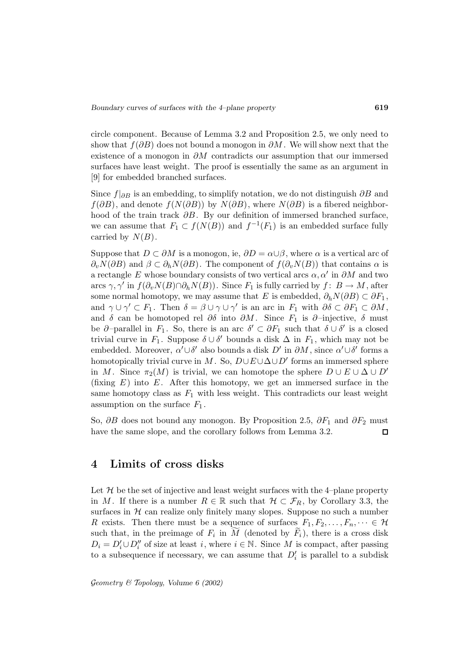circle component. Because of Lemma 3.2 and Proposition 2.5, we only need to show that  $f(\partial B)$  does not bound a monogon in  $\partial M$ . We will show next that the existence of a monogon in  $\partial M$  contradicts our assumption that our immersed surfaces have least weight. The proof is essentially the same as an argument in [9] for embedded branched surfaces.

Since  $f|_{\partial B}$  is an embedding, to simplify notation, we do not distinguish ∂B and  $f(\partial B)$ , and denote  $f(N(\partial B))$  by  $N(\partial B)$ , where  $N(\partial B)$  is a fibered neighborhood of the train track  $\partial B$ . By our definition of immersed branched surface, we can assume that  $F_1 \subset f(N(B))$  and  $f^{-1}(F_1)$  is an embedded surface fully carried by  $N(B)$ .

Suppose that  $D \subset \partial M$  is a monogon, ie,  $\partial D = \alpha \cup \beta$ , where  $\alpha$  is a vertical arc of  $\partial_n N(\partial B)$  and  $\beta \subset \partial_h N(\partial B)$ . The component of  $f(\partial_n N(B))$  that contains  $\alpha$  is a rectangle E whose boundary consists of two vertical arcs  $\alpha, \alpha'$  in  $\partial M$  and two arcs  $\gamma$ ,  $\gamma'$  in  $f(\partial_v N(B) \cap \partial_h N(B))$ . Since  $F_1$  is fully carried by  $f: B \to M$ , after some normal homotopy, we may assume that E is embedded,  $\partial_h N(\partial B) \subset \partial F_1$ , and  $\gamma \cup \gamma' \subset F_1$ . Then  $\delta = \beta \cup \gamma \cup \gamma'$  is an arc in  $F_1$  with  $\partial \delta \subset \partial F_1 \subset \partial M$ , and  $\delta$  can be homotoped rel  $\partial \delta$  into  $\partial M$ . Since  $F_1$  is  $\partial$ -injective,  $\delta$  must be  $\partial$ -parallel in  $F_1$ . So, there is an arc  $\delta' \subset \partial F_1$  such that  $\delta \cup \delta'$  is a closed trivial curve in  $F_1$ . Suppose  $\delta \cup \delta'$  bounds a disk  $\Delta$  in  $F_1$ , which may not be embedded. Moreover,  $\alpha' \cup \delta'$  also bounds a disk  $D'$  in  $\partial M$ , since  $\alpha' \cup \delta'$  forms a homotopically trivial curve in M. So,  $D \cup E \cup \Delta \cup D'$  forms an immersed sphere in M. Since  $\pi_2(M)$  is trivial, we can homotope the sphere  $D \cup E \cup \Delta \cup D'$ (fixing  $E$ ) into  $E$ . After this homotopy, we get an immersed surface in the same homotopy class as  $F_1$  with less weight. This contradicts our least weight assumption on the surface  $F_1$ .

So,  $\partial B$  does not bound any monogon. By Proposition 2.5,  $\partial F_1$  and  $\partial F_2$  must have the same slope, and the corollary follows from Lemma 3.2.  $\Box$ 

### **4 Limits of cross disks**

Let  $H$  be the set of injective and least weight surfaces with the 4–plane property in M. If there is a number  $R \in \mathbb{R}$  such that  $\mathcal{H} \subset \mathcal{F}_R$ , by Corollary 3.3, the surfaces in  $H$  can realize only finitely many slopes. Suppose no such a number R exists. Then there must be a sequence of surfaces  $F_1, F_2, \ldots, F_n, \cdots \in \mathcal{H}$ such that, in the preimage of  $F_i$  in M (denoted by  $F_i$ ), there is a cross disk  $D_i = D'_i \cup D''_i$  of size at least i, where  $i \in \mathbb{N}$ . Since M is compact, after passing to a subsequence if necessary, we can assume that  $D_i'$  is parallel to a subdisk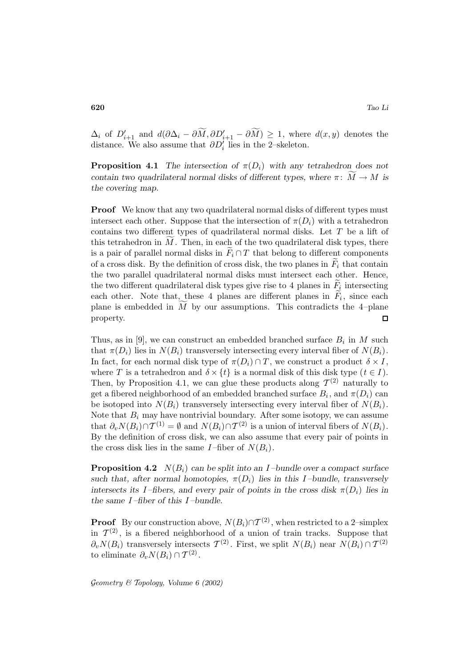$\Delta_i$  of  $D'_{i+1}$  and  $d(\partial \Delta_i - \partial M, \partial D'_{i+1} - \partial M) \geq 1$ , where  $d(x, y)$  denotes the distance. We also assume that  $\partial D_i'$  lies in the 2–skeleton.

**Proposition 4.1** *The intersection of*  $\pi(D_i)$  *with any tetrahedron does not contain two quadrilateral normal disks of different types, where*  $\pi$ :  $M \to M$  *is the covering map.*

**Proof** We know that any two quadrilateral normal disks of different types must intersect each other. Suppose that the intersection of  $\pi(D_i)$  with a tetrahedron contains two different types of quadrilateral normal disks. Let T be a lift of this tetrahedron in M. Then, in each of the two quadrilateral disk types, there is a pair of parallel normal disks in  $\tilde{F}_i \cap T$  that belong to different components of a cross disk. By the definition of cross disk, the two planes in  $\tilde{F}_i$  that contain the two parallel quadrilateral normal disks must intersect each other. Hence, the two different quadrilateral disk types give rise to 4 planes in  $\overline{F}_i$  intersecting each other. Note that, these 4 planes are different planes in  $\overline{F}_i$ , since each plane is embedded in  $M$  by our assumptions. This contradicts the 4-plane property.  $\Box$ 

Thus, as in [9], we can construct an embedded branched surface  $B_i$  in M such that  $\pi(D_i)$  lies in  $N(B_i)$  transversely intersecting every interval fiber of  $N(B_i)$ . In fact, for each normal disk type of  $\pi(D_i) \cap T$ , we construct a product  $\delta \times I$ , where T is a tetrahedron and  $\delta \times \{t\}$  is a normal disk of this disk type  $(t \in I)$ . Then, by Proposition 4.1, we can glue these products along  $\mathcal{T}^{(2)}$  naturally to get a fibered neighborhood of an embedded branched surface  $B_i$ , and  $\pi(D_i)$  can be isotoped into  $N(B_i)$  transversely intersecting every interval fiber of  $N(B_i)$ . Note that  $B_i$  may have nontrivial boundary. After some isotopy, we can assume that  $\partial_v N(B_i) \cap \mathcal{T}^{(1)} = \emptyset$  and  $N(B_i) \cap \mathcal{T}^{(2)}$  is a union of interval fibers of  $N(B_i)$ . By the definition of cross disk, we can also assume that every pair of points in the cross disk lies in the same I-fiber of  $N(B_i)$ .

**Proposition 4.2** N(Bi) *can be split into an* I *–bundle over a compact surface* such that, after normal homotopies,  $\pi(D_i)$  lies in this I-bundle, transversely *intersects its I–fibers, and every pair of points in the cross disk*  $\pi(D_i)$  *lies in the same* I *–fiber of this* I *–bundle.*

**Proof** By our construction above,  $N(B_i) \cap T^{(2)}$ , when restricted to a 2–simplex in  $\mathcal{T}^{(2)}$ , is a fibered neighborhood of a union of train tracks. Suppose that  $\partial_v N(B_i)$  transversely intersects  $\mathcal{T}^{(2)}$ . First, we split  $N(B_i)$  near  $N(B_i) \cap \mathcal{T}^{(2)}$ to eliminate  $\partial_n N(B_i) \cap T^{(2)}$ .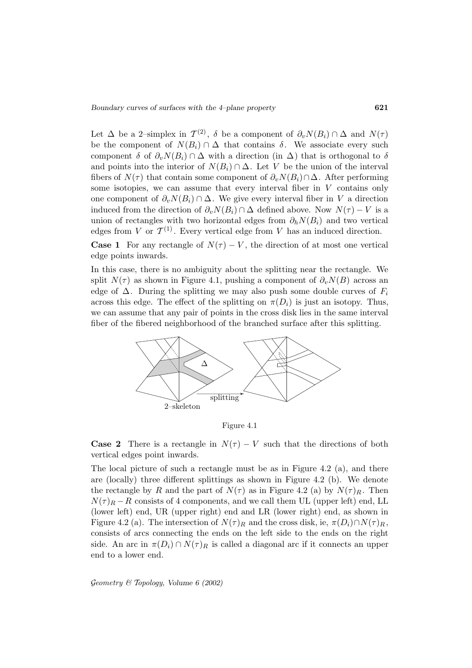Let  $\Delta$  be a 2–simplex in  $\mathcal{T}^{(2)}$ ,  $\delta$  be a component of  $\partial_v N(B_i) \cap \Delta$  and  $N(\tau)$ be the component of  $N(B_i) \cap \Delta$  that contains  $\delta$ . We associate every such component  $\delta$  of  $\partial_v N(B_i) \cap \Delta$  with a direction (in  $\Delta$ ) that is orthogonal to  $\delta$ and points into the interior of  $N(B_i) \cap \Delta$ . Let V be the union of the interval fibers of  $N(\tau)$  that contain some component of  $\partial_v N(B_i) \cap \Delta$ . After performing some isotopies, we can assume that every interval fiber in  $V$  contains only one component of  $\partial_v N(B_i) \cap \Delta$ . We give every interval fiber in V a direction induced from the direction of  $\partial_v N(B_i) \cap \Delta$  defined above. Now  $N(\tau) - V$  is a union of rectangles with two horizontal edges from  $\partial_h N(B_i)$  and two vertical edges from V or  $\mathcal{T}^{(1)}$ . Every vertical edge from V has an induced direction.

**Case 1** For any rectangle of  $N(\tau) - V$ , the direction of at most one vertical edge points inwards.

In this case, there is no ambiguity about the splitting near the rectangle. We split  $N(\tau)$  as shown in Figure 4.1, pushing a component of  $\partial_{\nu}N(B)$  across an edge of  $\Delta$ . During the splitting we may also push some double curves of  $F_i$ across this edge. The effect of the splitting on  $\pi(D_i)$  is just an isotopy. Thus, we can assume that any pair of points in the cross disk lies in the same interval fiber of the fibered neighborhood of the branched surface after this splitting.



Figure 4.1

**Case 2** There is a rectangle in  $N(\tau) - V$  such that the directions of both vertical edges point inwards.

The local picture of such a rectangle must be as in Figure 4.2 (a), and there are (locally) three different splittings as shown in Figure 4.2 (b). We denote the rectangle by R and the part of  $N(\tau)$  as in Figure 4.2 (a) by  $N(\tau)_{R}$ . Then  $N(\tau)_R - R$  consists of 4 components, and we call them UL (upper left) end, LL (lower left) end, UR (upper right) end and LR (lower right) end, as shown in Figure 4.2 (a). The intersection of  $N(\tau)_R$  and the cross disk, ie,  $\pi(D_i)\cap N(\tau)_R$ , consists of arcs connecting the ends on the left side to the ends on the right side. An arc in  $\pi(D_i) \cap N(\tau)_R$  is called a diagonal arc if it connects an upper end to a lower end.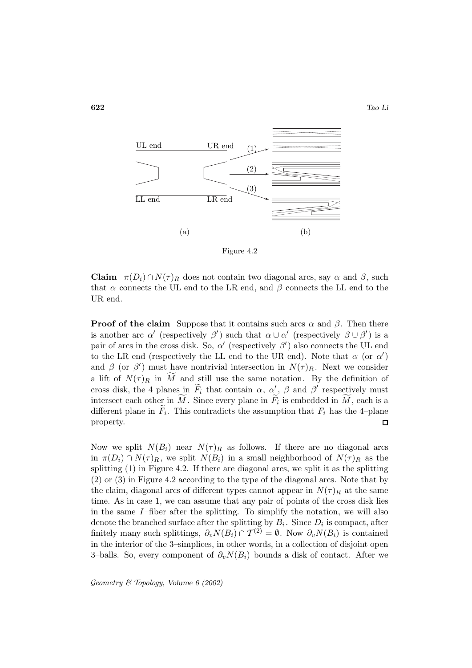

Figure 4.2

**Claim**  $\pi(D_i) \cap N(\tau)_R$  does not contain two diagonal arcs, say  $\alpha$  and  $\beta$ , such that  $\alpha$  connects the UL end to the LR end, and  $\beta$  connects the LL end to the UR end.

**Proof of the claim** Suppose that it contains such arcs  $\alpha$  and  $\beta$ . Then there is another arc  $\alpha'$  (respectively  $\beta'$ ) such that  $\alpha \cup \alpha'$  (respectively  $\beta \cup \beta'$ ) is a pair of arcs in the cross disk. So,  $\alpha'$  (respectively  $\beta'$ ) also connects the UL end to the LR end (respectively the LL end to the UR end). Note that  $\alpha$  (or  $\alpha'$ ) and  $\beta$  (or  $\beta'$ ) must have nontrivial intersection in  $N(\tau)_R$ . Next we consider a lift of  $N(\tau)_R$  in M and still use the same notation. By the definition of cross disk, the 4 planes in  $\tilde{F}_i$  that contain  $\alpha$ ,  $\alpha'_{\sim}$ ,  $\beta$  and  $\beta'$  respectively must intersect each other in M. Since every plane in  $F_i$  is embedded in M, each is a different plane in  $\tilde{F}_i$ . This contradicts the assumption that  $F_i$  has the 4-plane property.  $\Box$ 

Now we split  $N(B_i)$  near  $N(\tau)_R$  as follows. If there are no diagonal arcs in  $\pi(D_i) \cap N(\tau)_R$ , we split  $N(B_i)$  in a small neighborhood of  $N(\tau)_R$  as the splitting (1) in Figure 4.2. If there are diagonal arcs, we split it as the splitting (2) or (3) in Figure 4.2 according to the type of the diagonal arcs. Note that by the claim, diagonal arcs of different types cannot appear in  $N(\tau)_R$  at the same time. As in case 1, we can assume that any pair of points of the cross disk lies in the same  $I$ -fiber after the splitting. To simplify the notation, we will also denote the branched surface after the splitting by  $B_i$ . Since  $D_i$  is compact, after finitely many such splittings,  $\partial_v N(B_i) \cap T^{(2)} = \emptyset$ . Now  $\partial_v N(B_i)$  is contained in the interior of the 3–simplices, in other words, in a collection of disjoint open 3–balls. So, every component of  $\partial_v N(B_i)$  bounds a disk of contact. After we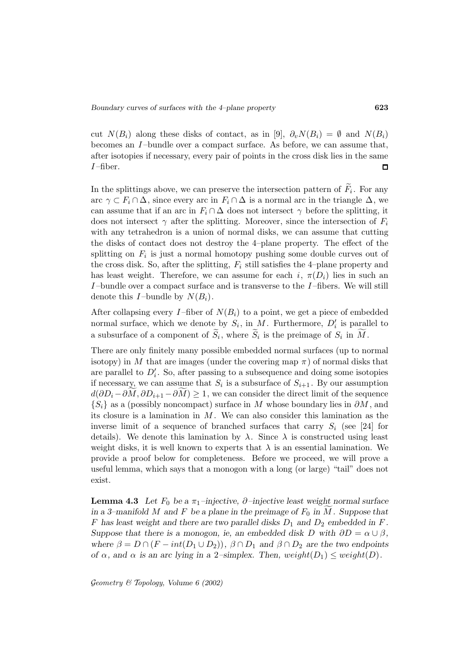cut  $N(B_i)$  along these disks of contact, as in [9],  $\partial_v N(B_i) = \emptyset$  and  $N(B_i)$ becomes an  $I$ -bundle over a compact surface. As before, we can assume that, after isotopies if necessary, every pair of points in the cross disk lies in the same  $I$ -fiber.  $\Box$ 

In the splittings above, we can preserve the intersection pattern of  $\widetilde{F}_i$ . For any arc  $\gamma \subset F_i \cap \Delta$ , since every arc in  $F_i \cap \Delta$  is a normal arc in the triangle  $\Delta$ , we can assume that if an arc in  $F_i \cap \Delta$  does not intersect  $\gamma$  before the splitting, it does not intersect  $\gamma$  after the splitting. Moreover, since the intersection of  $F_i$ with any tetrahedron is a union of normal disks, we can assume that cutting the disks of contact does not destroy the 4–plane property. The effect of the splitting on  $F_i$  is just a normal homotopy pushing some double curves out of the cross disk. So, after the splitting,  $F_i$  still satisfies the 4–plane property and has least weight. Therefore, we can assume for each i,  $\pi(D_i)$  lies in such an I-bundle over a compact surface and is transverse to the I-fibers. We will still denote this I-bundle by  $N(B_i)$ .

After collapsing every I-fiber of  $N(B_i)$  to a point, we get a piece of embedded normal surface, which we denote by  $S_i$ , in M. Furthermore,  $D'_i$  is parallel to a subsurface of a component of  $S_i$ , where  $S_i$  is the preimage of  $S_i$  in M.

There are only finitely many possible embedded normal surfaces (up to normal isotopy) in M that are images (under the covering map  $\pi$ ) of normal disks that are parallel to  $D_i'$ . So, after passing to a subsequence and doing some isotopies if necessary, we can assume that  $S_i$  is a subsurface of  $S_{i+1}$ . By our assumption  $d(\partial D_i - \partial M, \partial D_{i+1} - \partial M) \ge 1$ , we can consider the direct limit of the sequence  ${S_i}$  as a (possibly noncompact) surface in M whose boundary lies in  $\partial M$ , and its closure is a lamination in  $M$ . We can also consider this lamination as the inverse limit of a sequence of branched surfaces that carry  $S_i$  (see [24] for details). We denote this lamination by  $\lambda$ . Since  $\lambda$  is constructed using least weight disks, it is well known to experts that  $\lambda$  is an essential lamination. We provide a proof below for completeness. Before we proceed, we will prove a useful lemma, which says that a monogon with a long (or large) "tail" does not exist.

**Lemma 4.3** *Let*  $F_0$  *be a*  $\pi_1$ *–injective,*  $\partial$ *–injective least weight normal surface in a 3–manifold* M *and* F *be a plane in the preimage of*  $F_0$  *in* M. Suppose that F has least weight and there are two parallel disks  $D_1$  and  $D_2$  embedded in F. *Suppose that there is a monogon, ie, an embedded disk D with*  $\partial D = \alpha \cup \beta$ *, where*  $\beta = D \cap (F - int(D_1 \cup D_2))$ ,  $\beta \cap D_1$  *and*  $\beta \cap D_2$  *are the two endpoints of*  $\alpha$ , and  $\alpha$  *is an arc lying in a* 2–simplex. Then, weight( $D_1$ )  $\leq$  weight( $D$ ).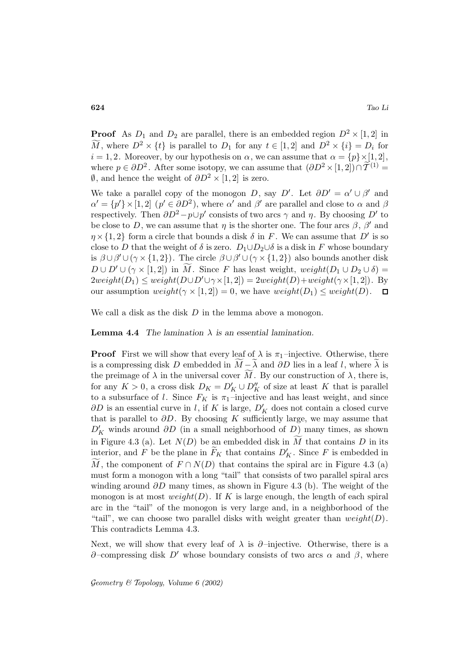**Proof** As  $D_1$  and  $D_2$  are parallel, there is an embedded region  $D^2 \times [1,2]$  in M, where  $D^2 \times \{t\}$  is parallel to  $D_1$  for any  $t \in [1,2]$  and  $D^2 \times \{i\} = D_i$  for  $i = 1, 2$ . Moreover, by our hypothesis on  $\alpha$ , we can assume that  $\alpha = \{p\} \times [1, 2]$ , where  $p \in \partial D^2$ . After some isotopy, we can assume that  $(\partial D^2 \times [1,2]) \cap \tilde{T}^{(1)} =$  $\emptyset$ , and hence the weight of  $\partial D^2 \times [1, 2]$  is zero.

We take a parallel copy of the monogon D, say D'. Let  $\partial D' = \alpha' \cup \beta'$  and  $\alpha' = \{p'\}\times[1,2]$   $(p' \in \partial D^2)$ , where  $\alpha'$  and  $\beta'$  are parallel and close to  $\alpha$  and  $\beta$ respectively. Then  $\partial D^2 - p \cup p'$  consists of two arcs  $\gamma$  and  $\eta$ . By choosing D' to be close to D, we can assume that  $\eta$  is the shorter one. The four arcs  $\beta$ ,  $\beta'$  and  $\eta \times \{1,2\}$  form a circle that bounds a disk  $\delta$  in F. We can assume that D' is so close to D that the weight of  $\delta$  is zero.  $D_1 \cup D_2 \cup \delta$  is a disk in F whose boundary is  $\beta \cup \beta' \cup (\gamma \times \{1,2\})$ . The circle  $\beta \cup \beta' \cup (\gamma \times \{1,2\})$  also bounds another disk  $D \cup D' \cup (\gamma \times [1,2])$  in M. Since F has least weight,  $weight(D_1 \cup D_2 \cup \delta)$  =  $2weight(D_1) \le weight(D \cup D' \cup \gamma \times [1,2]) = 2weight(D) + weight(\gamma \times [1,2])$ . By our assumption  $weight(\gamma \times [1, 2]) = 0$ , we have  $weight(D_1) \le weight(D)$ .  $\Box$ 

We call a disk as the disk  $D$  in the lemma above a monogon.

**Lemma 4.4** *The lamination*  $\lambda$  *is an essential lamination.* 

**Proof** First we will show that every leaf of  $\lambda$  is  $\pi_1$ -injective. Otherwise, there is a compressing disk D embedded in  $M = \lambda$  and  $\partial D$  lies in a leaf l, where  $\lambda$  is the preimage of  $\lambda$  in the universal cover M. By our construction of  $\lambda$ , there is, for any  $K > 0$ , a cross disk  $D_K = D'_K \cup D''_K$  of size at least K that is parallel to a subsurface of l. Since  $F_K$  is  $\pi_1$ -injective and has least weight, and since  $\partial D$  is an essential curve in l, if K is large,  $D_K'$  does not contain a closed curve that is parallel to  $\partial D$ . By choosing K sufficiently large, we may assume that  $D'_{K}$  winds around  $\partial D$  (in a small neighborhood of  $D$ ) many times, as shown in Figure 4.3 (a). Let  $N(D)$  be an embedded disk in M that contains D in its interior, and F be the plane in  $\widetilde{F}_K$  that contains  $D'_K$ . Since F is embedded in M, the component of  $F \cap N(D)$  that contains the spiral arc in Figure 4.3 (a) must form a monogon with a long "tail" that consists of two parallel spiral arcs winding around  $\partial D$  many times, as shown in Figure 4.3 (b). The weight of the monogon is at most  $weight(D)$ . If K is large enough, the length of each spiral arc in the "tail" of the monogon is very large and, in a neighborhood of the "tail", we can choose two parallel disks with weight greater than  $weight(D)$ . This contradicts Lemma 4.3.

Next, we will show that every leaf of  $\lambda$  is  $\partial$ –injective. Otherwise, there is a  $\partial$ –compressing disk D' whose boundary consists of two arcs  $\alpha$  and  $\beta$ , where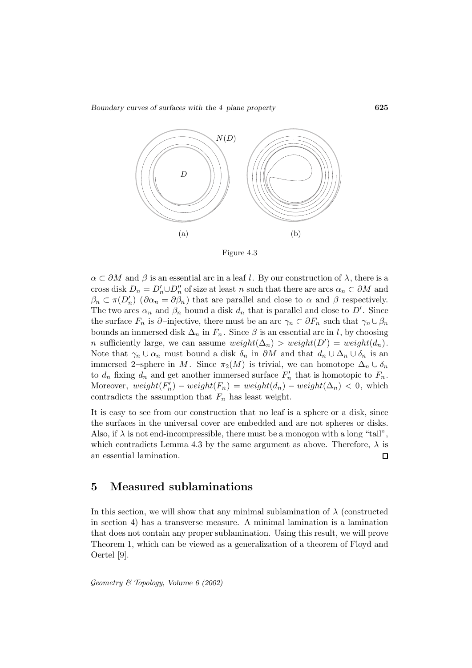*Boundary curves of surfaces with the 4–plane property* **625**



Figure 4.3

 $\alpha \subset \partial M$  and  $\beta$  is an essential arc in a leaf l. By our construction of  $\lambda$ , there is a cross disk  $D_n = D'_n \cup D''_n$  of size at least n such that there are arcs  $\alpha_n \subset \partial M$  and  $\beta_n \subset \pi(D'_n)$   $(\partial \alpha_n = \partial \beta_n)$  that are parallel and close to  $\alpha$  and  $\beta$  respectively. The two arcs  $\alpha_n$  and  $\beta_n$  bound a disk  $d_n$  that is parallel and close to  $D'$ . Since the surface  $F_n$  is  $\partial$ –injective, there must be an arc  $\gamma_n \subset \partial F_n$  such that  $\gamma_n \cup \beta_n$ bounds an immersed disk  $\Delta_n$  in  $F_n$ . Since  $\beta$  is an essential arc in l, by choosing n sufficiently large, we can assume  $weight(\Delta_n) > weight(D') = weight(d_n)$ . Note that  $\gamma_n \cup \alpha_n$  must bound a disk  $\delta_n$  in  $\partial M$  and that  $d_n \cup \Delta_n \cup \delta_n$  is an immersed 2–sphere in M. Since  $\pi_2(M)$  is trivial, we can homotope  $\Delta_n \cup \delta_n$ to  $d_n$  fixing  $d_n$  and get another immersed surface  $F'_n$  that is homotopic to  $F_n$ . Moreover,  $weight(F'_n) - weight(F_n) = weight(d_n) - weight(\Delta_n) < 0$ , which contradicts the assumption that  $F_n$  has least weight.

It is easy to see from our construction that no leaf is a sphere or a disk, since the surfaces in the universal cover are embedded and are not spheres or disks. Also, if  $\lambda$  is not end-incompressible, there must be a monogon with a long "tail", which contradicts Lemma 4.3 by the same argument as above. Therefore,  $\lambda$  is an essential lamination.  $\Box$ 

### **5 Measured sublaminations**

In this section, we will show that any minimal sublamination of  $\lambda$  (constructed in section 4) has a transverse measure. A minimal lamination is a lamination that does not contain any proper sublamination. Using this result, we will prove Theorem 1, which can be viewed as a generalization of a theorem of Floyd and Oertel [9].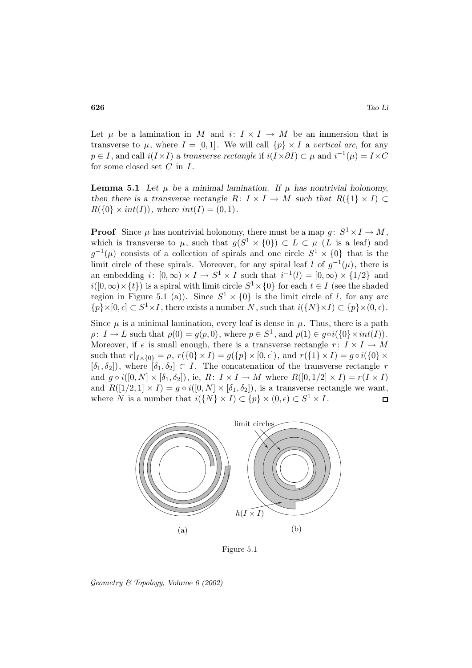Let  $\mu$  be a lamination in M and  $i: I \times I \rightarrow M$  be an immersion that is transverse to  $\mu$ , where  $I = [0, 1]$ . We will call  $\{p\} \times I$  a vertical arc, for any  $p \in I$ , and call  $i(I \times I)$  a transverse rectangle if  $i(I \times \partial I) \subset \mu$  and  $i^{-1}(\mu) = I \times C$ for some closed set  $C$  in  $I$ .

**Lemma 5.1** Let  $\mu$  be a minimal lamination. If  $\mu$  has nontrivial holonomy, *then there is a transverse rectangle*  $R: I \times I \rightarrow M$  *such that*  $R({1} \times I) \subset$  $R({0} \times int(I)),$  where  $int(I) = (0, 1).$ 

**Proof** Since  $\mu$  has nontrivial holonomy, there must be a map  $g: S^1 \times I \to M$ , which is transverse to  $\mu$ , such that  $g(S^1 \times \{0\}) \subset L \subset \mu$  (L is a leaf) and  $g^{-1}(\mu)$  consists of a collection of spirals and one circle  $S^1 \times \{0\}$  that is the limit circle of these spirals. Moreover, for any spiral leaf l of  $q^{-1}(\mu)$ , there is an embedding  $i: [0, \infty) \times I \to S^1 \times I$  such that  $i^{-1}(l) = [0, \infty) \times \{1/2\}$  and  $i([0,\infty)\times\{t\})$  is a spiral with limit circle  $S^1\times\{0\}$  for each  $t\in I$  (see the shaded region in Figure 5.1 (a)). Since  $S^1 \times \{0\}$  is the limit circle of l, for any arc  $\{p\}\times[0, \epsilon] \subset S^1\times I$ , there exists a number N, such that  $i(\{N\}\times I) \subset \{p\}\times(0, \epsilon)$ .

Since  $\mu$  is a minimal lamination, every leaf is dense in  $\mu$ . Thus, there is a path  $\rho: I \to L$  such that  $\rho(0) = g(p, 0)$ , where  $p \in S^1$ , and  $\rho(1) \in g \circ i({0} \times int(I)).$ Moreover, if  $\epsilon$  is small enough, there is a transverse rectangle  $r: I \times I \rightarrow M$ such that  $r|_{I\times\{0\}} = \rho$ ,  $r(\{0\}\times I) = g(\{p\}\times[0,\epsilon])$ , and  $r(\{1\}\times I) = g \circ i(\{0\}\times\{0\})$  $[\delta_1, \delta_2]$ , where  $[\delta_1, \delta_2] \subset I$ . The concatenation of the transverse rectangle r and  $g \circ i([0, N] \times [\delta_1, \delta_2])$ , ie,  $R: I \times I \rightarrow M$  where  $R([0, 1/2] \times I) = r(I \times I)$ and  $R([1/2, 1] \times I) = g \circ i([0, N] \times [\delta_1, \delta_2])$ , is a transverse rectangle we want, where N is a number that  $i({N} \times I) \subset {p} \times (0, \epsilon) \subset S^1 \times I$ .  $\Box$ 



Figure 5.1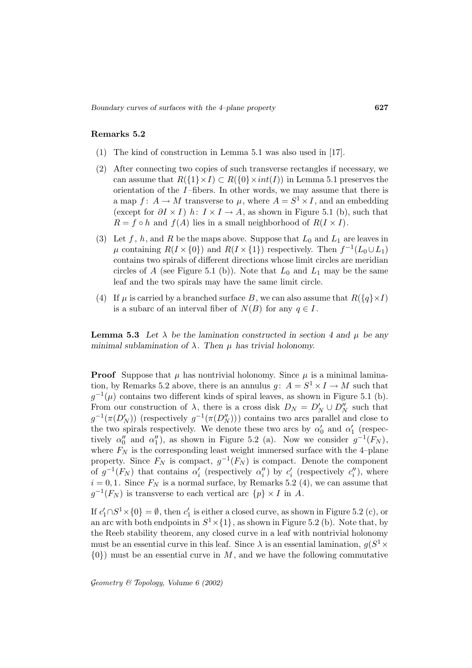### **Remarks 5.2**

- (1) The kind of construction in Lemma 5.1 was also used in [17].
- (2) After connecting two copies of such transverse rectangles if necessary, we can assume that  $R({1} \times I) \subset R({0} \times int(I))$  in Lemma 5.1 preserves the orientation of the  $I$ -fibers. In other words, we may assume that there is a map  $f: A \to M$  transverse to  $\mu$ , where  $A = S^1 \times I$ , and an embedding (except for  $\partial I \times I$ ) h:  $I \times I \rightarrow A$ , as shown in Figure 5.1 (b), such that  $R = f \circ h$  and  $f(A)$  lies in a small neighborhood of  $R(I \times I)$ .
- (3) Let f, h, and R be the maps above. Suppose that  $L_0$  and  $L_1$  are leaves in  $\mu$  containing  $R(I \times \{0\})$  and  $R(I \times \{1\})$  respectively. Then  $f^{-1}(L_0 \cup L_1)$ contains two spirals of different directions whose limit circles are meridian circles of A (see Figure 5.1 (b)). Note that  $L_0$  and  $L_1$  may be the same leaf and the two spirals may have the same limit circle.
- (4) If  $\mu$  is carried by a branched surface B, we can also assume that  $R({q \nmid \times I})$ is a subarc of an interval fiber of  $N(B)$  for any  $q \in I$ .

**Lemma 5.3** Let  $\lambda$  be the lamination constructed in section 4 and  $\mu$  be any *minimal sublamination of*  $\lambda$ *. Then*  $\mu$  *has trivial holonomy.* 

**Proof** Suppose that  $\mu$  has nontrivial holonomy. Since  $\mu$  is a minimal lamination, by Remarks 5.2 above, there is an annulus  $q: A = S^1 \times I \to M$  such that  $g^{-1}(\mu)$  contains two different kinds of spiral leaves, as shown in Figure 5.1 (b). From our construction of  $\lambda$ , there is a cross disk  $D_N = D'_N \cup D''_N$  such that  $g^{-1}(\pi(D'_N))$  (respectively  $g^{-1}(\pi(D''_N)))$ ) contains two arcs parallel and close to the two spirals respectively. We denote these two arcs by  $\alpha'_0$  and  $\alpha'_1$  (respectively  $\alpha_0''$  and  $\alpha_1''$ ), as shown in Figure 5.2 (a). Now we consider  $g^{-1}(F_N)$ , where  $F_N$  is the corresponding least weight immersed surface with the 4-plane property. Since  $F_N$  is compact,  $g^{-1}(F_N)$  is compact. Denote the component of  $g^{-1}(F_N)$  that contains  $\alpha'_i$  (respectively  $\alpha''_i$ ) by  $c'_i$  (respectively  $c''_i$ ), where  $i = 0, 1$ . Since  $F_N$  is a normal surface, by Remarks 5.2 (4), we can assume that  $g^{-1}(F_N)$  is transverse to each vertical arc  $\{p\} \times I$  in A.

If  $c'_1 \cap S^1 \times \{0\} = \emptyset$ , then  $c'_1$  is either a closed curve, as shown in Figure 5.2 (c), or an arc with both endpoints in  $S^1 \times \{1\}$ , as shown in Figure 5.2 (b). Note that, by the Reeb stability theorem, any closed curve in a leaf with nontrivial holonomy must be an essential curve in this leaf. Since  $\lambda$  is an essential lamination,  $g(S^1 \times$  $\{0\}$  must be an essential curve in M, and we have the following commutative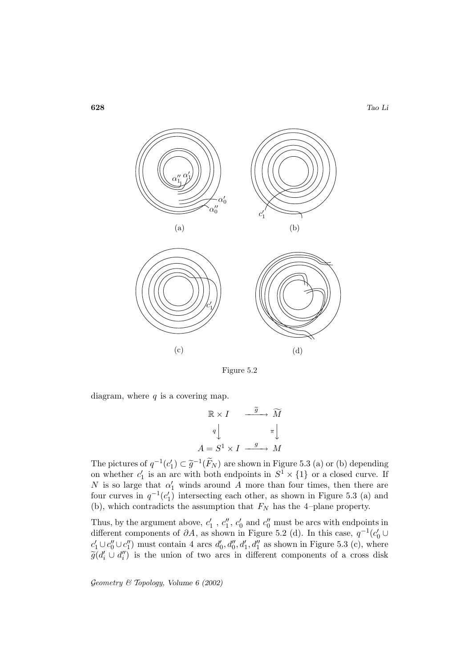

Figure 5.2

diagram, where  $q$  is a covering map.

$$
\begin{array}{ccc}\n\mathbb{R} \times I & \xrightarrow{\widetilde{g}} & \widetilde{M} \\
q & & & \pi \\
A = S^1 \times I & \xrightarrow{g} & M\n\end{array}
$$

The pictures of  $q^{-1}(c'_1) \subset \tilde{g}^{-1}(\tilde{F}_N)$  are shown in Figure 5.3 (a) or (b) depending on whether  $c'_1$  is an arc with both endpoints in  $S^1 \times \{1\}$  or a closed curve. If N is so large that  $\alpha'_1$  winds around A more than four times, then there are four curves in  $q^{-1}(c'_1)$  intersecting each other, as shown in Figure 5.3 (a) and (b), which contradicts the assumption that  $F_N$  has the 4-plane property.

Thus, by the argument above,  $c'_1$ ,  $c''_1$ ,  $c'_0$  and  $c''_0$  must be arcs with endpoints in different components of  $\partial A$ , as shown in Figure 5.2 (d). In this case,  $q^{-1}(c'_0 \cup$  $c'_1 \cup c''_0 \cup c''_1$  must contain 4 arcs  $d'_0, d''_0, d'_1, d''_1$  as shown in Figure 5.3 (c), where  $\widetilde{g}(d_i' \cup d_i'')$  is the union of two arcs in different components of a cross disk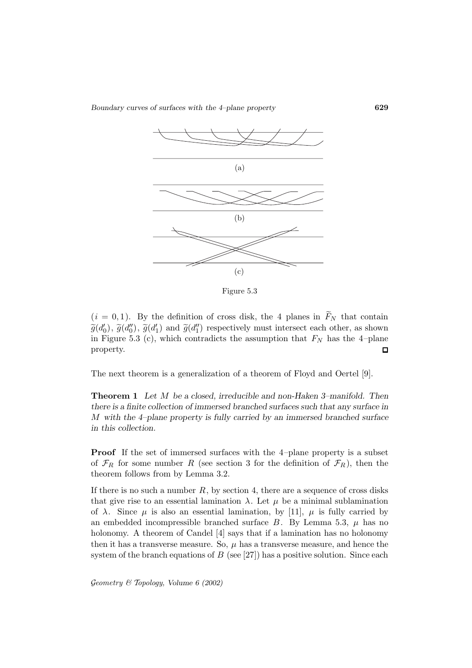*Boundary curves of surfaces with the 4–plane property* **629**



Figure 5.3

 $(i = 0, 1)$ . By the definition of cross disk, the 4 planes in  $\widetilde{F}_N$  that contain  $\widetilde{g}(d'_{0}), \widetilde{g}(d''_{1}), \widetilde{g}(d'_{1})$  and  $\widetilde{g}(d''_{1})$  respectively must intersect each other, as shown in Figure 5.3 (c), which contradicts the assumption that  $F_N$  has the 4-plane property.  $\Box$ 

The next theorem is a generalization of a theorem of Floyd and Oertel [9].

**Theorem 1** *Let* M *be a closed, irreducible and non-Haken 3–manifold. Then there is a finite collection of immersed branched surfaces such that any surface in* M *with the 4–plane property is fully carried by an immersed branched surface in this collection.*

**Proof** If the set of immersed surfaces with the 4-plane property is a subset of  $\mathcal{F}_R$  for some number R (see section 3 for the definition of  $\mathcal{F}_R$ ), then the theorem follows from by Lemma 3.2.

If there is no such a number  $R$ , by section 4, there are a sequence of cross disks that give rise to an essential lamination  $\lambda$ . Let  $\mu$  be a minimal sublamination of  $\lambda$ . Since  $\mu$  is also an essential lamination, by [11],  $\mu$  is fully carried by an embedded incompressible branched surface  $B$ . By Lemma 5.3,  $\mu$  has no holonomy. A theorem of Candel [4] says that if a lamination has no holonomy then it has a transverse measure. So,  $\mu$  has a transverse measure, and hence the system of the branch equations of  $B$  (see [27]) has a positive solution. Since each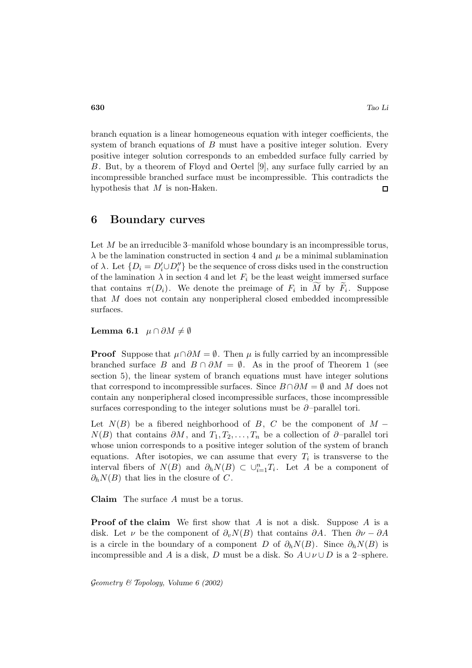branch equation is a linear homogeneous equation with integer coefficients, the system of branch equations of  $B$  must have a positive integer solution. Every positive integer solution corresponds to an embedded surface fully carried by B. But, by a theorem of Floyd and Oertel [9], any surface fully carried by an incompressible branched surface must be incompressible. This contradicts the hypothesis that  $M$  is non-Haken.  $\Box$ 

## **6 Boundary curves**

Let  $M$  be an irreducible 3–manifold whose boundary is an incompressible torus,  $\lambda$  be the lamination constructed in section 4 and  $\mu$  be a minimal sublamination of  $\lambda$ . Let  $\{D_i = D'_i \cup D''_i\}$  be the sequence of cross disks used in the construction of the lamination  $\lambda$  in section 4 and let  $F_i$  be the least weight immersed surface that contains  $\pi(D_i)$ . We denote the preimage of  $F_i$  in M by  $F_i$ . Suppose that M does not contain any nonperipheral closed embedded incompressible surfaces.

**Lemma 6.1**  $\mu \cap \partial M \neq \emptyset$ 

**Proof** Suppose that  $\mu \cap \partial M = \emptyset$ . Then  $\mu$  is fully carried by an incompressible branched surface B and  $B \cap \partial M = \emptyset$ . As in the proof of Theorem 1 (see section 5), the linear system of branch equations must have integer solutions that correspond to incompressible surfaces. Since  $B \cap \partial M = \emptyset$  and M does not contain any nonperipheral closed incompressible surfaces, those incompressible surfaces corresponding to the integer solutions must be  $\partial$ -parallel tori.

Let  $N(B)$  be a fibered neighborhood of B, C be the component of M –  $N(B)$  that contains  $\partial M$ , and  $T_1, T_2, \ldots, T_n$  be a collection of  $\partial$ -parallel tori whose union corresponds to a positive integer solution of the system of branch equations. After isotopies, we can assume that every  $T_i$  is transverse to the interval fibers of  $N(B)$  and  $\partial_h N(B) \subset \bigcup_{i=1}^n T_i$ . Let A be a component of  $\partial_h N(B)$  that lies in the closure of C.

**Claim** The surface A must be a torus.

**Proof of the claim** We first show that A is not a disk. Suppose A is a disk. Let  $\nu$  be the component of  $\partial_v N(B)$  that contains  $\partial A$ . Then  $\partial \nu - \partial A$ is a circle in the boundary of a component D of  $\partial_h N(B)$ . Since  $\partial_h N(B)$  is incompressible and A is a disk, D must be a disk. So  $A \cup \nu \cup D$  is a 2–sphere.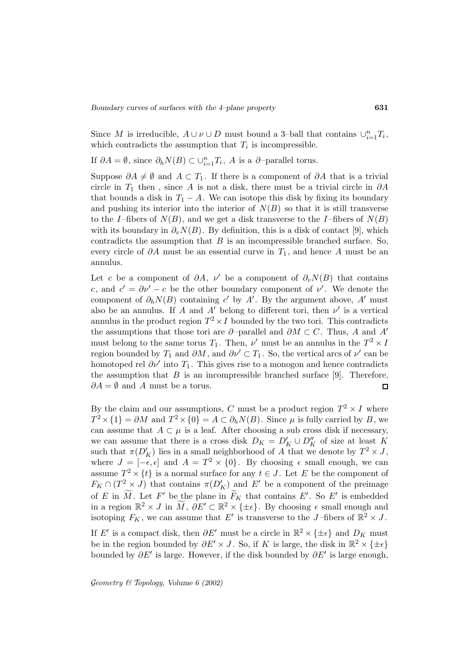Since M is irreducible,  $A \cup \nu \cup D$  must bound a 3-ball that contains  $\cup_{i=1}^n T_i$ , which contradicts the assumption that  $T_i$  is incompressible.

If  $\partial A = \emptyset$ , since  $\partial_h N(B) \subset \bigcup_{i=1}^n T_i$ , A is a  $\partial$ -parallel torus.

Suppose  $\partial A \neq \emptyset$  and  $A \subset T_1$ . If there is a component of  $\partial A$  that is a trivial circle in  $T_1$  then, since A is not a disk, there must be a trivial circle in  $\partial A$ that bounds a disk in  $T_1 - A$ . We can isotope this disk by fixing its boundary and pushing its interior into the interior of  $N(B)$  so that it is still transverse to the I-fibers of  $N(B)$ , and we get a disk transverse to the I-fibers of  $N(B)$ with its boundary in  $\partial_v N(B)$ . By definition, this is a disk of contact [9], which contradicts the assumption that  $B$  is an incompressible branched surface. So, every circle of  $\partial A$  must be an essential curve in  $T_1$ , and hence A must be an annulus.

Let c be a component of  $\partial A$ ,  $\nu'$  be a component of  $\partial_v N(B)$  that contains c, and  $c' = \partial v' - c$  be the other boundary component of  $v'$ . We denote the component of  $\partial_h N(B)$  containing c' by A'. By the argument above, A' must also be an annulus. If A and A' belong to different tori, then  $\nu'$  is a vertical annulus in the product region  $T^2 \times I$  bounded by the two tori. This contradicts the assumptions that those tori are  $\partial$ -parallel and  $\partial M \subset C$ . Thus, A and A' must belong to the same torus  $T_1$ . Then,  $\nu'$  must be an annulus in the  $T^2 \times I$ region bounded by  $T_1$  and  $\partial M$ , and  $\partial \nu' \subset T_1$ . So, the vertical arcs of  $\nu'$  can be homotoped rel  $\partial \nu'$  into  $T_1$ . This gives rise to a monogon and hence contradicts the assumption that  $B$  is an incompressible branched surface [9]. Therefore,  $\partial A = \emptyset$  and A must be a torus.  $\Box$ 

By the claim and our assumptions, C must be a product region  $T^2 \times I$  where  $T^2 \times \{1\} = \partial M$  and  $T^2 \times \{0\} = A \subset \partial_h N(B)$ . Since  $\mu$  is fully carried by B, we can assume that  $A \subset \mu$  is a leaf. After choosing a sub cross disk if necessary, we can assume that there is a cross disk  $D_K = D'_K \cup D''_K$  of size at least K such that  $\pi(D'_K)$  lies in a small neighborhood of A that we denote by  $T^2 \times J$ , where  $J = [-\epsilon, \epsilon]$  and  $A = T^2 \times \{0\}$ . By choosing  $\epsilon$  small enough, we can assume  $T^2 \times \{t\}$  is a normal surface for any  $t \in J$ . Let E be the component of  $F_K \cap (T^2 \times J)$  that contains  $\pi(D'_K)$  and  $E'$  be a component of the preimage of E in M. Let F' be the plane in  $\widetilde{F}_K$  that contains E'. So E' is embedded in a region  $\mathbb{R}^2 \times J$  in  $\widetilde{M}$ ,  $\partial E' \subset \mathbb{R}^2 \times \{\pm \epsilon\}$ . By choosing  $\epsilon$  small enough and isotoping  $F_K$ , we can assume that E' is transverse to the J-fibers of  $\mathbb{R}^2 \times J$ . If E' is a compact disk, then  $\partial E'$  must be a circle in  $\mathbb{R}^2 \times \{\pm \epsilon\}$  and  $D_K$  must be in the region bounded by  $\partial E' \times J$ . So, if K is large, the disk in  $\mathbb{R}^2 \times \{\pm \epsilon\}$ bounded by  $\partial E'$  is large. However, if the disk bounded by  $\partial E'$  is large enough,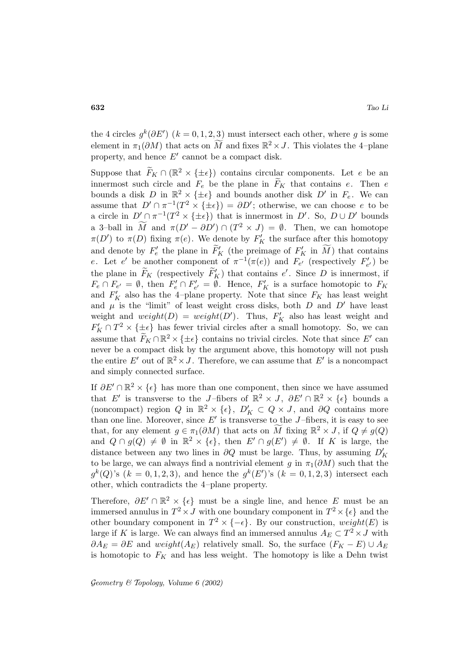the 4 circles  $g^k(\partial E')$  ( $k = 0, 1, 2, 3$ ) must intersect each other, where g is some element in  $\pi_1(\partial M)$  that acts on M and fixes  $\mathbb{R}^2 \times J$ . This violates the 4-plane property, and hence  $E'$  cannot be a compact disk.

Suppose that  $\widetilde{F}_K \cap (\mathbb{R}^2 \times \{\pm \epsilon\})$  contains circular components. Let e be an innermost such circle and  $F_e$  be the plane in  $F_K$  that contains e. Then e bounds a disk D in  $\mathbb{R}^2 \times \{\pm \epsilon\}$  and bounds another disk D' in  $F_e$ . We can assume that  $D' \cap \pi^{-1}(T^2 \times {\{\pm\epsilon\}}) = \partial D'$ ; otherwise, we can choose e to be a circle in  $D' \cap \pi^{-1}(T^2 \times {\{\pm\epsilon\}})$  that is innermost in D'. So,  $D \cup D'$  bounds a 3-ball in  $\tilde{M}$  and  $\pi(D' - \partial D') \cap (T^2 \times J) = \emptyset$ . Then, we can homotope  $\pi(D')$  to  $\pi(D)$  fixing  $\pi(e)$ . We denote by  $F'_K$  the surface after this homotopy and denote by  $F'_e$  the plane in  $F'_K$  (the preimage of  $F'_K$  in  $\overline{M}$ ) that contains e. Let e' be another component of  $\pi^{-1}(\pi(e))$  and  $F_{e'}$  (respectively  $F'_{e'}$ ) be the plane in  $\widetilde{F}_K$  (respectively  $\widetilde{F}'_K$ ) that contains e'. Since D is innermost, if  $F_e \cap F_{e'} = \emptyset$ , then  $F'_e \cap F'_{e'} = \emptyset$ . Hence,  $F'_K$  is a surface homotopic to  $F_K$ and  $F'_K$  also has the 4-plane property. Note that since  $F_K$  has least weight and  $\mu$  is the "limit" of least weight cross disks, both  $D$  and  $D'$  have least weight and  $weight(D) = weight(D')$ . Thus,  $F'_K$  also has least weight and  $F_K' \cap T^2 \times {\{\pm\epsilon\}}$  has fewer trivial circles after a small homotopy. So, we can assume that  $\widetilde{F}_K \cap \mathbb{R}^2 \times \{\pm \epsilon\}$  contains no trivial circles. Note that since E' can never be a compact disk by the argument above, this homotopy will not push the entire E' out of  $\mathbb{R}^2 \times J$ . Therefore, we can assume that E' is a noncompact and simply connected surface.

If  $\partial E' \cap \mathbb{R}^2 \times \{\epsilon\}$  has more than one component, then since we have assumed that E' is transverse to the J-fibers of  $\mathbb{R}^2 \times J$ ,  $\partial E' \cap \mathbb{R}^2 \times {\{\epsilon\}}$  bounds a (noncompact) region Q in  $\mathbb{R}^2 \times {\{\epsilon\}}$ ,  $D'_K \subset Q \times J$ , and  $\partial Q$  contains more than one line. Moreover, since  $E'$  is transverse to the J-fibers, it is easy to see that, for any element  $g \in \pi_1(\partial M)$  that acts on M fixing  $\mathbb{R}^2 \times J$ , if  $Q \neq g(Q)$ and  $Q \cap g(Q) \neq \emptyset$  in  $\mathbb{R}^2 \times {\{\epsilon\}},$  then  $E' \cap g(E') \neq \emptyset$ . If K is large, the distance between any two lines in  $\partial Q$  must be large. Thus, by assuming  $D'_K$ to be large, we can always find a nontrivial element g in  $\pi_1(\partial M)$  such that the  $g^{k}(Q)$ 's  $(k = 0, 1, 2, 3)$ , and hence the  $g^{k}(E')$ 's  $(k = 0, 1, 2, 3)$  intersect each other, which contradicts the 4–plane property.

Therefore,  $\partial E' \cap \mathbb{R}^2 \times {\epsilon}$  must be a single line, and hence E must be an immersed annulus in  $T^2 \times J$  with one boundary component in  $T^2 \times {\{\epsilon\}}$  and the other boundary component in  $T^2 \times \{-\epsilon\}$ . By our construction, weight(E) is large if K is large. We can always find an immersed annulus  $A_E \subset T^2 \times J$  with  $\partial A_E = \partial E$  and weight( $A_E$ ) relatively small. So, the surface  $(F_K - E) \cup A_E$ is homotopic to  $F_K$  and has less weight. The homotopy is like a Dehn twist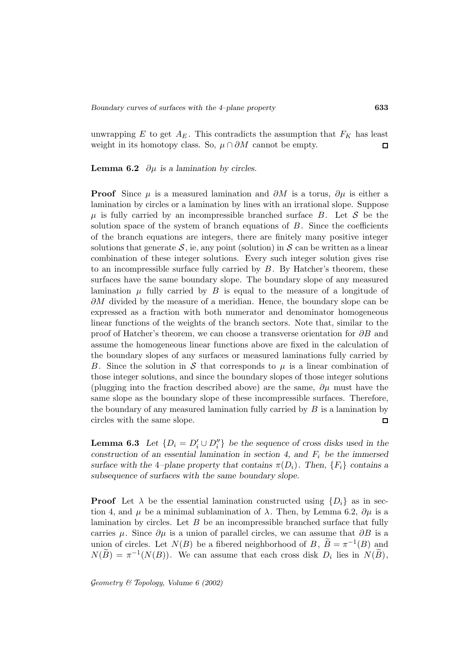unwrapping  $E$  to get  $A_E$ . This contradicts the assumption that  $F_K$  has least weight in its homotopy class. So,  $\mu \cap \partial M$  cannot be empty.  $\Box$ 

**Lemma 6.2**  $\partial \mu$  *is a lamination by circles.* 

**Proof** Since  $\mu$  is a measured lamination and  $\partial M$  is a torus,  $\partial \mu$  is either a lamination by circles or a lamination by lines with an irrational slope. Suppose  $\mu$  is fully carried by an incompressible branched surface B. Let S be the solution space of the system of branch equations of  $B$ . Since the coefficients of the branch equations are integers, there are finitely many positive integer solutions that generate  $S$ , ie, any point (solution) in S can be written as a linear combination of these integer solutions. Every such integer solution gives rise to an incompressible surface fully carried by  $B$ . By Hatcher's theorem, these surfaces have the same boundary slope. The boundary slope of any measured lamination  $\mu$  fully carried by B is equal to the measure of a longitude of  $\partial M$  divided by the measure of a meridian. Hence, the boundary slope can be expressed as a fraction with both numerator and denominator homogeneous linear functions of the weights of the branch sectors. Note that, similar to the proof of Hatcher's theorem, we can choose a transverse orientation for  $\partial B$  and assume the homogeneous linear functions above are fixed in the calculation of the boundary slopes of any surfaces or measured laminations fully carried by B. Since the solution in S that corresponds to  $\mu$  is a linear combination of those integer solutions, and since the boundary slopes of those integer solutions (plugging into the fraction described above) are the same,  $\partial \mu$  must have the same slope as the boundary slope of these incompressible surfaces. Therefore, the boundary of any measured lamination fully carried by  $B$  is a lamination by circles with the same slope.  $\Box$ 

**Lemma 6.3** *Let*  $\{D_i = D'_i \cup D''_i\}$  *be the sequence of cross disks used in the construction of an essential lamination in section 4, and*  $F_i$  *be the immersed surface with the* 4*–plane property that contains*  $\pi(D_i)$ *. Then,*  $\{F_i\}$  *contains a subsequence of surfaces with the same boundary slope.*

**Proof** Let  $\lambda$  be the essential lamination constructed using  $\{D_i\}$  as in section 4, and  $\mu$  be a minimal sublamination of  $\lambda$ . Then, by Lemma 6.2,  $\partial \mu$  is a lamination by circles. Let  $B$  be an incompressible branched surface that fully carries  $\mu$ . Since  $\partial \mu$  is a union of parallel circles, we can assume that  $\partial B$  is a union of circles. Let  $N(B)$  be a fibered neighborhood of B,  $\widetilde{B} = \pi^{-1}(B)$  and  $N(B) = \pi^{-1}(N(B)).$  We can assume that each cross disk  $D_i$  lies in  $N(B)$ ,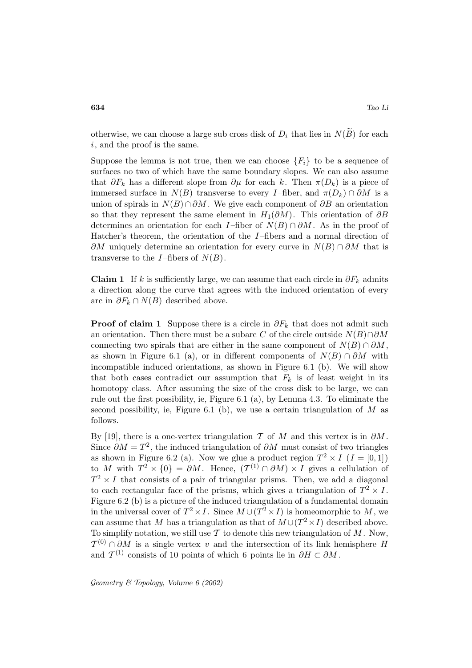otherwise, we can choose a large sub cross disk of  $D_i$  that lies in  $N(\widetilde{B})$  for each i, and the proof is the same.

Suppose the lemma is not true, then we can choose  $\{F_i\}$  to be a sequence of surfaces no two of which have the same boundary slopes. We can also assume that  $\partial F_k$  has a different slope from  $\partial \mu$  for each k. Then  $\pi(D_k)$  is a piece of immersed surface in  $N(B)$  transverse to every I-fiber, and  $\pi(D_k) \cap \partial M$  is a union of spirals in  $N(B) \cap \partial M$ . We give each component of  $\partial B$  an orientation so that they represent the same element in  $H_1(\partial M)$ . This orientation of  $\partial B$ determines an orientation for each I–fiber of  $N(B) \cap \partial M$ . As in the proof of Hatcher's theorem, the orientation of the  $I$ -fibers and a normal direction of  $\partial M$  uniquely determine an orientation for every curve in  $N(B) \cap \partial M$  that is transverse to the *I*-fibers of  $N(B)$ .

**Claim 1** If k is sufficiently large, we can assume that each circle in  $\partial F_k$  admits a direction along the curve that agrees with the induced orientation of every arc in  $\partial F_k \cap N(B)$  described above.

**Proof of claim 1** Suppose there is a circle in  $\partial F_k$  that does not admit such an orientation. Then there must be a subarc C of the circle outside  $N(B) \cap \partial M$ connecting two spirals that are either in the same component of  $N(B) \cap \partial M$ , as shown in Figure 6.1 (a), or in different components of  $N(B) \cap \partial M$  with incompatible induced orientations, as shown in Figure 6.1 (b). We will show that both cases contradict our assumption that  $F_k$  is of least weight in its homotopy class. After assuming the size of the cross disk to be large, we can rule out the first possibility, ie, Figure 6.1 (a), by Lemma 4.3. To eliminate the second possibility, ie, Figure 6.1 (b), we use a certain triangulation of  $M$  as follows.

By [19], there is a one-vertex triangulation T of M and this vertex is in  $\partial M$ . Since  $\partial M = T^2$ , the induced triangulation of  $\partial M$  must consist of two triangles as shown in Figure 6.2 (a). Now we glue a product region  $T^2 \times I$   $(I = [0, 1])$ to M with  $T^2 \times \{0\} = \partial M$ . Hence,  $(T^{(1)} \cap \partial M) \times I$  gives a cellulation of  $T^2 \times I$  that consists of a pair of triangular prisms. Then, we add a diagonal to each rectangular face of the prisms, which gives a triangulation of  $T^2 \times I$ . Figure 6.2 (b) is a picture of the induced triangulation of a fundamental domain in the universal cover of  $T^2 \times I$ . Since  $M \cup (T^2 \times I)$  is homeomorphic to M, we can assume that M has a triangulation as that of  $M \cup (T^2 \times I)$  described above. To simplify notation, we still use  $\mathcal T$  to denote this new triangulation of  $M$ . Now,  $\mathcal{T}^{(0)} \cap \partial M$  is a single vertex v and the intersection of its link hemisphere H and  $\mathcal{T}^{(1)}$  consists of 10 points of which 6 points lie in  $\partial H \subset \partial M$ .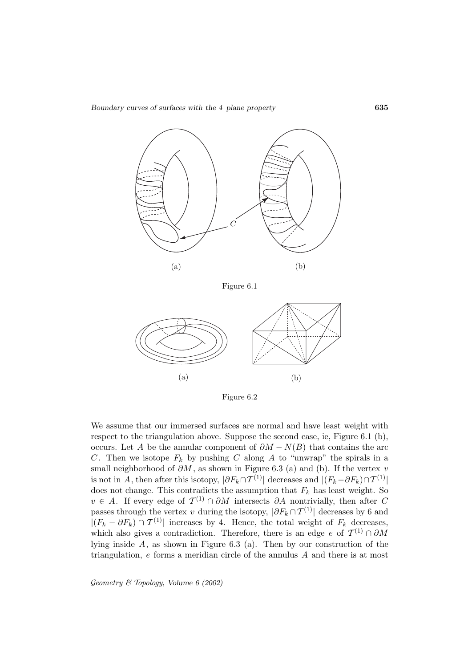*Boundary curves of surfaces with the 4–plane property* **635**



Figure 6.1



Figure 6.2

We assume that our immersed surfaces are normal and have least weight with respect to the triangulation above. Suppose the second case, ie, Figure 6.1 (b), occurs. Let A be the annular component of  $\partial M - N(B)$  that contains the arc C. Then we isotope  $F_k$  by pushing C along A to "unwrap" the spirals in a small neighborhood of  $\partial M$ , as shown in Figure 6.3 (a) and (b). If the vertex v is not in A, then after this isotopy,  $|\partial F_k \cap \mathcal{T}^{(1)}|$  decreases and  $|(F_k - \partial F_k) \cap \mathcal{T}^{(1)}|$ does not change. This contradicts the assumption that  $F_k$  has least weight. So  $v \in A$ . If every edge of  $\mathcal{T}^{(1)} \cap \partial M$  intersects  $\partial A$  nontrivially, then after C passes through the vertex v during the isotopy,  $|\partial F_k \cap T^{(1)}|$  decreases by 6 and  $|(F_k - \partial F_k) \cap T^{(1)}|$  increases by 4. Hence, the total weight of  $F_k$  decreases, which also gives a contradiction. Therefore, there is an edge e of  $\mathcal{T}^{(1)} \cap \partial M$ lying inside A, as shown in Figure 6.3 (a). Then by our construction of the triangulation, e forms a meridian circle of the annulus A and there is at most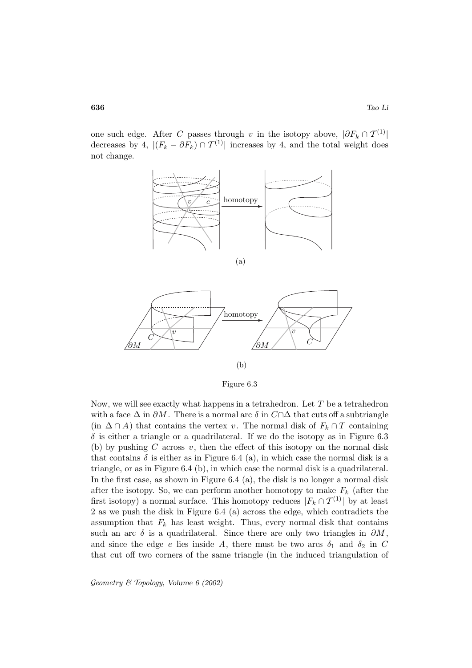one such edge. After C passes through v in the isotopy above,  $|\partial F_k \cap T^{(1)}|$ decreases by 4,  $|(F_k - \partial F_k) \cap T^{(1)}|$  increases by 4, and the total weight does not change.



Figure 6.3

Now, we will see exactly what happens in a tetrahedron. Let  $T$  be a tetrahedron with a face  $\Delta$  in  $\partial M$ . There is a normal arc  $\delta$  in  $C \cap \Delta$  that cuts off a subtriangle (in  $\Delta \cap A$ ) that contains the vertex v. The normal disk of  $F_k \cap T$  containing  $\delta$  is either a triangle or a quadrilateral. If we do the isotopy as in Figure 6.3 (b) by pushing C across  $v$ , then the effect of this isotopy on the normal disk that contains  $\delta$  is either as in Figure 6.4 (a), in which case the normal disk is a triangle, or as in Figure 6.4 (b), in which case the normal disk is a quadrilateral. In the first case, as shown in Figure 6.4 (a), the disk is no longer a normal disk after the isotopy. So, we can perform another homotopy to make  $F_k$  (after the first isotopy) a normal surface. This homotopy reduces  $|F_k \cap T^{(1)}|$  by at least 2 as we push the disk in Figure 6.4 (a) across the edge, which contradicts the assumption that  $F_k$  has least weight. Thus, every normal disk that contains such an arc  $\delta$  is a quadrilateral. Since there are only two triangles in  $\partial M$ , and since the edge e lies inside A, there must be two arcs  $\delta_1$  and  $\delta_2$  in C that cut off two corners of the same triangle (in the induced triangulation of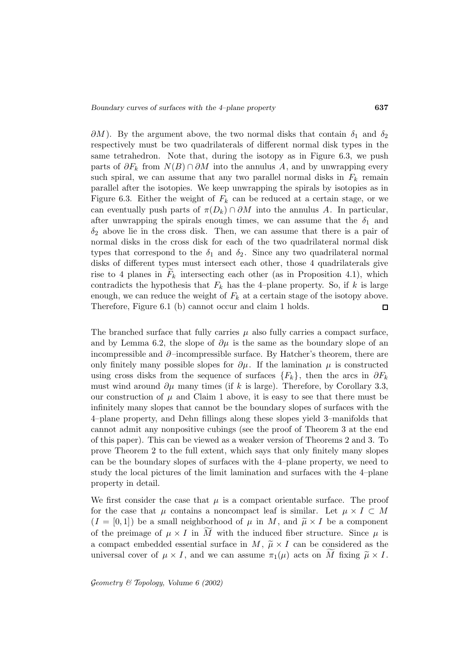$\partial M$ ). By the argument above, the two normal disks that contain  $\delta_1$  and  $\delta_2$ respectively must be two quadrilaterals of different normal disk types in the same tetrahedron. Note that, during the isotopy as in Figure 6.3, we push parts of  $\partial F_k$  from  $N(B) \cap \partial M$  into the annulus A, and by unwrapping every such spiral, we can assume that any two parallel normal disks in  $F_k$  remain parallel after the isotopies. We keep unwrapping the spirals by isotopies as in Figure 6.3. Either the weight of  $F_k$  can be reduced at a certain stage, or we can eventually push parts of  $\pi(D_k) \cap \partial M$  into the annulus A. In particular, after unwrapping the spirals enough times, we can assume that the  $\delta_1$  and  $\delta_2$  above lie in the cross disk. Then, we can assume that there is a pair of normal disks in the cross disk for each of the two quadrilateral normal disk types that correspond to the  $\delta_1$  and  $\delta_2$ . Since any two quadrilateral normal disks of different types must intersect each other, those 4 quadrilaterals give rise to 4 planes in  $F_k$  intersecting each other (as in Proposition 4.1), which contradicts the hypothesis that  $F_k$  has the 4-plane property. So, if k is large enough, we can reduce the weight of  $F_k$  at a certain stage of the isotopy above. Therefore, Figure 6.1 (b) cannot occur and claim 1 holds.  $\Box$ 

The branched surface that fully carries  $\mu$  also fully carries a compact surface, and by Lemma 6.2, the slope of  $\partial \mu$  is the same as the boundary slope of an incompressible and ∂–incompressible surface. By Hatcher's theorem, there are only finitely many possible slopes for  $\partial \mu$ . If the lamination  $\mu$  is constructed using cross disks from the sequence of surfaces  ${F_k}$ , then the arcs in  $\partial F_k$ must wind around  $\partial \mu$  many times (if k is large). Therefore, by Corollary 3.3, our construction of  $\mu$  and Claim 1 above, it is easy to see that there must be infinitely many slopes that cannot be the boundary slopes of surfaces with the 4–plane property, and Dehn fillings along these slopes yield 3–manifolds that cannot admit any nonpositive cubings (see the proof of Theorem 3 at the end of this paper). This can be viewed as a weaker version of Theorems 2 and 3. To prove Theorem 2 to the full extent, which says that only finitely many slopes can be the boundary slopes of surfaces with the 4–plane property, we need to study the local pictures of the limit lamination and surfaces with the 4–plane property in detail.

We first consider the case that  $\mu$  is a compact orientable surface. The proof for the case that  $\mu$  contains a noncompact leaf is similar. Let  $\mu \times I \subset M$  $(I = [0, 1])$  be a small neighborhood of  $\mu$  in M, and  $\tilde{\mu} \times I$  be a component of the preimage of  $\mu \times I$  in M with the induced fiber structure. Since  $\mu$  is a compact embedded essential surface in  $M, \tilde{\mu} \times I$  can be considered as the universal cover of  $\mu \times I$ , and we can assume  $\pi_1(\mu)$  acts on M fixing  $\tilde{\mu} \times I$ .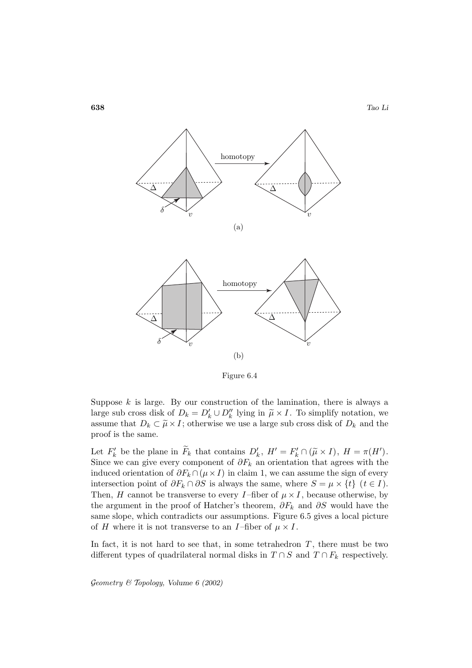

Figure 6.4

Suppose  $k$  is large. By our construction of the lamination, there is always a large sub cross disk of  $D_k = D'_k \cup D''_k$  lying in  $\tilde{\mu} \times I$ . To simplify notation, we assume that  $D_k \subset \widetilde{\mu} \times I$ ; otherwise we use a large sub cross disk of  $D_k$  and the proof is the same.

Let  $F'_k$  be the plane in  $\tilde{F}_k$  that contains  $D'_k$ ,  $H' = F'_k \cap (\tilde{\mu} \times I)$ ,  $H = \pi(H')$ . Since we can give every component of  $\partial F_k$  an orientation that agrees with the induced orientation of  $\partial F_k \cap (\mu \times I)$  in claim 1, we can assume the sign of every intersection point of  $\partial F_k \cap \partial S$  is always the same, where  $S = \mu \times \{t\}$   $(t \in I)$ . Then, H cannot be transverse to every I-fiber of  $\mu \times I$ , because otherwise, by the argument in the proof of Hatcher's theorem,  $\partial F_k$  and  $\partial S$  would have the same slope, which contradicts our assumptions. Figure 6.5 gives a local picture of H where it is not transverse to an I-fiber of  $\mu \times I$ .

In fact, it is not hard to see that, in some tetrahedron  $T$ , there must be two different types of quadrilateral normal disks in  $T \cap S$  and  $T \cap F_k$  respectively.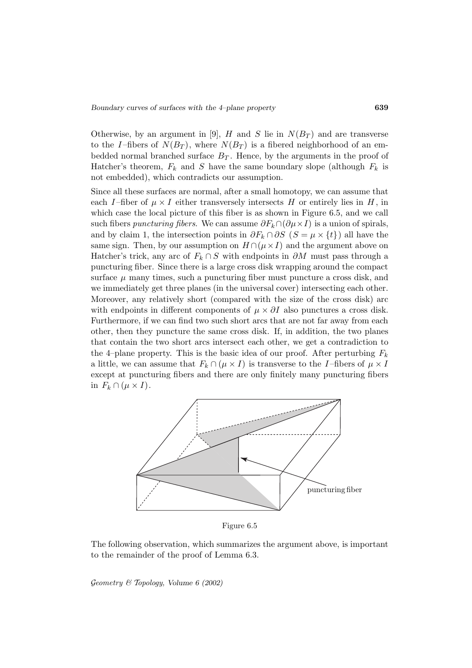Otherwise, by an argument in [9], H and S lie in  $N(B_T)$  and are transverse to the I-fibers of  $N(B_T)$ , where  $N(B_T)$  is a fibered neighborhood of an embedded normal branched surface  $B_T$ . Hence, by the arguments in the proof of Hatcher's theorem,  $F_k$  and S have the same boundary slope (although  $F_k$  is not embedded), which contradicts our assumption.

Since all these surfaces are normal, after a small homotopy, we can assume that each I-fiber of  $\mu \times I$  either transversely intersects H or entirely lies in H, in which case the local picture of this fiber is as shown in Figure 6.5, and we call such fibers puncturing fibers. We can assume  $\partial F_k \cap (\partial \mu \times I)$  is a union of spirals, and by claim 1, the intersection points in  $\partial F_k \cap \partial S$  ( $S = \mu \times \{t\}$ ) all have the same sign. Then, by our assumption on  $H \cap (\mu \times I)$  and the argument above on Hatcher's trick, any arc of  $F_k \cap S$  with endpoints in  $\partial M$  must pass through a puncturing fiber. Since there is a large cross disk wrapping around the compact surface  $\mu$  many times, such a puncturing fiber must puncture a cross disk, and we immediately get three planes (in the universal cover) intersecting each other. Moreover, any relatively short (compared with the size of the cross disk) arc with endpoints in different components of  $\mu \times \partial I$  also punctures a cross disk. Furthermore, if we can find two such short arcs that are not far away from each other, then they puncture the same cross disk. If, in addition, the two planes that contain the two short arcs intersect each other, we get a contradiction to the 4–plane property. This is the basic idea of our proof. After perturbing  $F_k$ a little, we can assume that  $F_k \cap (\mu \times I)$  is transverse to the I-fibers of  $\mu \times I$ except at puncturing fibers and there are only finitely many puncturing fibers in  $F_k \cap (\mu \times I)$ .



Figure 6.5

The following observation, which summarizes the argument above, is important to the remainder of the proof of Lemma 6.3.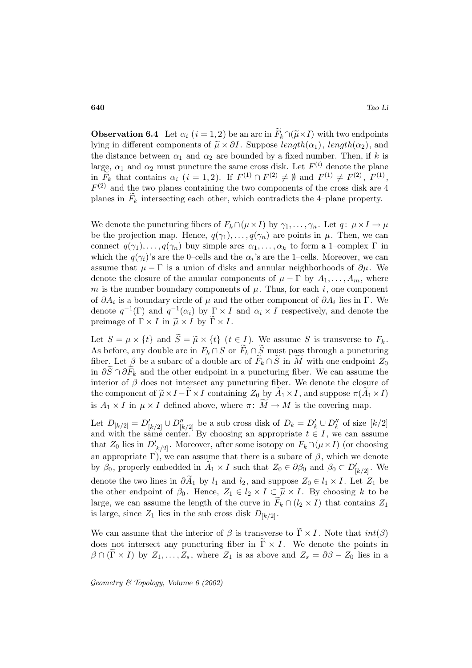**Observation 6.4** Let  $\alpha_i$  (i = 1, 2) be an arc in  $\widetilde{F}_k \cap (\widetilde{\mu} \times I)$  with two endpoints lying in different components of  $\tilde{\mu} \times \partial I$ . Suppose length( $\alpha_1$ ), length( $\alpha_2$ ), and the distance between  $\alpha_1$  and  $\alpha_2$  are bounded by a fixed number. Then, if k is large,  $\alpha_1$  and  $\alpha_2$  must puncture the same cross disk. Let  $F^{(i)}$  denote the plane in  $\widetilde{F}_k$  that contains  $\alpha_i$   $(i = 1, 2)$ . If  $F^{(1)} \cap F^{(2)} \neq \emptyset$  and  $F^{(1)} \neq F^{(2)}$ ,  $F^{(1)}$ ,  $F<sup>(2)</sup>$  and the two planes containing the two components of the cross disk are 4 planes in  $F_k$  intersecting each other, which contradicts the 4–plane property.

We denote the puncturing fibers of  $F_k \cap (\mu \times I)$  by  $\gamma_1, \ldots, \gamma_n$ . Let  $q: \mu \times I \to \mu$ be the projection map. Hence,  $q(\gamma_1), \ldots, q(\gamma_n)$  are points in  $\mu$ . Then, we can connect  $q(\gamma_1), \ldots, q(\gamma_n)$  buy simple arcs  $\alpha_1, \ldots, \alpha_k$  to form a 1–complex  $\Gamma$  in which the  $q(\gamma_i)$ 's are the 0–cells and the  $\alpha_i$ 's are the 1–cells. Moreover, we can assume that  $\mu - \Gamma$  is a union of disks and annular neighborhoods of  $\partial \mu$ . We denote the closure of the annular components of  $\mu - \Gamma$  by  $A_1, \ldots, A_m$ , where m is the number boundary components of  $\mu$ . Thus, for each i, one component of  $\partial A_i$  is a boundary circle of  $\mu$  and the other component of  $\partial A_i$  lies in Γ. We denote  $q^{-1}(\Gamma)$  and  $q^{-1}(\alpha_i)$  by  $\Gamma \times I$  and  $\alpha_i \times I$  respectively, and denote the preimage of  $\Gamma \times I$  in  $\tilde{\mu} \times I$  by  $\Gamma \times I$ .

Let  $S = \mu \times \{t\}$  and  $\widetilde{S} = \widetilde{\mu} \times \{t\}$   $(t \in I)$ . We assume S is transverse to  $F_k$ . As before, any double arc in  $F_k \cap S$  or  $\widetilde{F}_k \cap \widetilde{S}$  must pass through a puncturing fiber. Let  $\beta$  be a subarc of a double arc of  $F_k \cap S$  in M with one endpoint  $Z_0$ in  $\partial \overline{S} \cap \partial \overline{F}_k$  and the other endpoint in a puncturing fiber. We can assume the interior of  $\beta$  does not intersect any puncturing fiber. We denote the closure of the component of  $\widetilde{\mu} \times I - \widetilde{\Gamma} \times I$  containing  $Z_0$  by  $\widetilde{A}_1 \times I$ , and suppose  $\pi(\widetilde{A}_1 \times I)$ is  $A_1 \times I$  in  $\mu \times I$  defined above, where  $\pi: M \to M$  is the covering map.

Let  $D_{[k/2]} = D'_{[k/2]} \cup D''_{[k/2]}$  be a sub cross disk of  $D_k = D'_k \cup D''_k$  of size  $[k/2]$ and with the same center. By choosing an appropriate  $t \in I$ , we can assume that  $Z_0$  lies in  $D'_{[k/2]}$ . Moreover, after some isotopy on  $F_k \cap (\mu \times I)$  (or choosing an appropriate  $\Gamma$ ), we can assume that there is a subarc of  $\beta$ , which we denote by  $\beta_0$ , properly embedded in  $A_1 \times I$  such that  $Z_0 \in \partial \beta_0$  and  $\beta_0 \subset D'_{[k/2]}$ . We denote the two lines in  $\partial \tilde{A}_1$  by  $l_1$  and  $l_2$ , and suppose  $Z_0 \in l_1 \times I$ . Let  $Z_1$  be the other endpoint of  $\beta_0$ . Hence,  $Z_1 \in l_2 \times I \subset \widetilde{\mu} \times I$ . By choosing k to be large, we can assume the length of the curve in  $F_k \cap (l_2 \times I)$  that contains  $Z_1$ is large, since  $Z_1$  lies in the sub cross disk  $D_{[k/2]}$ .

We can assume that the interior of  $\beta$  is transverse to  $\widetilde{\Gamma} \times I$ . Note that  $int(\beta)$ does not intersect any puncturing fiber in  $\tilde{\Gamma} \times I$ . We denote the points in  $\beta \cap (\Gamma \times I)$  by  $Z_1, \ldots, Z_s$ , where  $Z_1$  is as above and  $Z_s = \partial \beta - Z_0$  lies in a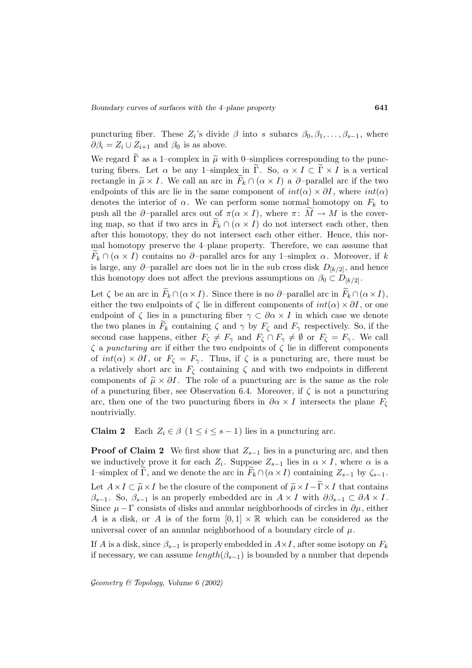puncturing fiber. These  $Z_i$ 's divide  $\beta$  into s subarcs  $\beta_0, \beta_1, \ldots, \beta_{s-1}$ , where  $\partial \beta_i = Z_i \cup Z_{i+1}$  and  $\beta_0$  is as above.

We regard  $\Gamma$  as a 1–complex in  $\tilde{\mu}$  with 0–simplices corresponding to the puncturing fibers. Let  $\alpha$  be any 1–simplex in  $\Gamma$ . So,  $\alpha \times I \subset \Gamma \times I$  is a vertical rectangle in  $\tilde{\mu} \times I$ . We call an arc in  $F_k \cap (\alpha \times I)$  a  $\partial$ -parallel arc if the two endpoints of this arc lie in the same component of  $int(\alpha) \times \partial I$ , where  $int(\alpha)$ denotes the interior of  $\alpha$ . We can perform some normal homotopy on  $F_k$  to push all the  $\partial$ -parallel arcs out of  $\pi(\alpha \times I)$ , where  $\pi: M \to M$  is the covering map, so that if two arcs in  $F_k \cap (\alpha \times I)$  do not intersect each other, then after this homotopy, they do not intersect each other either. Hence, this normal homotopy preserve the 4–plane property. Therefore, we can assume that  $F_k \cap (\alpha \times I)$  contains no  $\partial$ -parallel arcs for any 1–simplex  $\alpha$ . Moreover, if k is large, any ∂–parallel arc does not lie in the sub cross disk  $D_{k/2}$ , and hence this homotopy does not affect the previous assumptions on  $\beta_0 \subset D_{[k/2]}$ .

Let  $\zeta$  be an arc in  $F_k \cap (\alpha \times I)$ . Since there is no  $\partial$ -parallel arc in  $F_k \cap (\alpha \times I)$ , either the two endpoints of  $\zeta$  lie in different components of  $int(\alpha) \times \partial I$ , or one endpoint of  $\zeta$  lies in a puncturing fiber  $\gamma \subset \partial \alpha \times I$  in which case we denote the two planes in  $F_k$  containing  $\zeta$  and  $\gamma$  by  $F_{\zeta}$  and  $F_{\gamma}$  respectively. So, if the second case happens, either  $F_{\zeta} \neq F_{\gamma}$  and  $F_{\zeta} \cap F_{\gamma} \neq \emptyset$  or  $F_{\zeta} = F_{\gamma}$ . We call  $\zeta$  a puncturing arc if either the two endpoints of  $\zeta$  lie in different components of  $int(\alpha) \times \partial I$ , or  $F_{\zeta} = F_{\gamma}$ . Thus, if  $\zeta$  is a puncturing arc, there must be a relatively short arc in  $F_{\zeta}$  containing  $\zeta$  and with two endpoints in different components of  $\tilde{\mu} \times \partial I$ . The role of a puncturing arc is the same as the role of a puncturing fiber, see Observation 6.4. Moreover, if  $\zeta$  is not a puncturing arc, then one of the two puncturing fibers in  $\partial \alpha \times I$  intersects the plane  $F_{\zeta}$ nontrivially.

**Claim 2** Each  $Z_i \in \beta$  ( $1 \leq i \leq s-1$ ) lies in a puncturing arc.

**Proof of Claim 2** We first show that  $Z_{s-1}$  lies in a puncturing arc, and then we inductively prove it for each  $Z_i$ . Suppose  $Z_{s-1}$  lies in  $\alpha \times I$ , where  $\alpha$  is a 1–simplex of  $\Gamma$ , and we denote the arc in  $F_k \cap (\alpha \times I)$  containing  $Z_{s-1}$  by  $\zeta_{s-1}$ . Let  $A \times I \subset \widetilde{\mu} \times I$  be the closure of the component of  $\widetilde{\mu} \times I - \widetilde{\Gamma} \times I$  that contains  $\beta_{s-1}$ . So,  $\beta_{s-1}$  is an properly embedded arc in  $A \times I$  with  $\partial \beta_{s-1} \subset \partial A \times I$ . Since  $\mu - \Gamma$  consists of disks and annular neighborhoods of circles in  $\partial \mu$ , either A is a disk, or A is of the form  $[0, 1] \times \mathbb{R}$  which can be considered as the universal cover of an annular neighborhood of a boundary circle of  $\mu$ .

If A is a disk, since  $\beta_{s-1}$  is properly embedded in  $A \times I$ , after some isotopy on  $F_k$ if necessary, we can assume  $length(\beta_{s-1})$  is bounded by a number that depends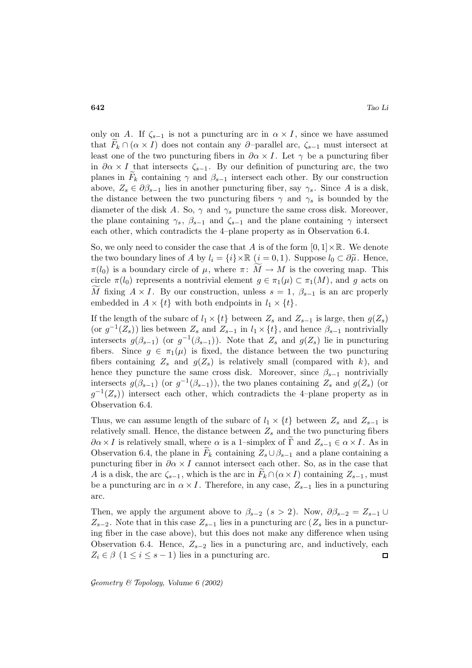only on A. If  $\zeta_{s-1}$  is not a puncturing arc in  $\alpha \times I$ , since we have assumed that  $F_k \cap (\alpha \times I)$  does not contain any ∂–parallel arc,  $\zeta_{s-1}$  must intersect at least one of the two puncturing fibers in  $\partial \alpha \times I$ . Let  $\gamma$  be a puncturing fiber in  $\partial \alpha \times I$  that intersects  $\zeta_{s-1}$ . By our definition of puncturing arc, the two planes in  $F_k$  containing  $\gamma$  and  $\beta_{s-1}$  intersect each other. By our construction above,  $Z_s \in \partial \beta_{s-1}$  lies in another puncturing fiber, say  $\gamma_s$ . Since A is a disk, the distance between the two puncturing fibers  $\gamma$  and  $\gamma_s$  is bounded by the diameter of the disk A. So,  $\gamma$  and  $\gamma_s$  puncture the same cross disk. Moreover, the plane containing  $\gamma_s$ ,  $\beta_{s-1}$  and  $\zeta_{s-1}$  and the plane containing  $\gamma$  intersect each other, which contradicts the 4–plane property as in Observation 6.4.

So, we only need to consider the case that A is of the form  $[0, 1] \times \mathbb{R}$ . We denote the two boundary lines of A by  $l_i = \{i\} \times \mathbb{R}$   $(i = 0, 1)$ . Suppose  $l_0 \subset \partial \tilde{\mu}$ . Hence,  $\pi(l_0)$  is a boundary circle of  $\mu$ , where  $\pi: M \to M$  is the covering map. This circle  $\pi(l_0)$  represents a nontrivial element  $g \in \pi_1(\mu) \subset \pi_1(M)$ , and g acts on M fixing  $A \times I$ . By our construction, unless  $s = 1, \beta_{s-1}$  is an arc properly embedded in  $A \times \{t\}$  with both endpoints in  $l_1 \times \{t\}$ .

If the length of the subarc of  $l_1 \times \{t\}$  between  $Z_s$  and  $Z_{s-1}$  is large, then  $g(Z_s)$ (or  $g^{-1}(Z_s)$ ) lies between  $Z_s$  and  $Z_{s-1}$  in  $l_1 \times \{t\}$ , and hence  $\beta_{s-1}$  nontrivially intersects  $g(\beta_{s-1})$  (or  $g^{-1}(\beta_{s-1})$ ). Note that  $Z_s$  and  $g(Z_s)$  lie in puncturing fibers. Since  $g \in \pi_1(\mu)$  is fixed, the distance between the two puncturing fibers containing  $Z_s$  and  $g(Z_s)$  is relatively small (compared with k), and hence they puncture the same cross disk. Moreover, since  $\beta_{s-1}$  nontrivially intersects  $g(\beta_{s-1})$  (or  $g^{-1}(\beta_{s-1})$ ), the two planes containing  $Z_s$  and  $g(Z_s)$  (or  $g^{-1}(Z_s)$ ) intersect each other, which contradicts the 4–plane property as in Observation 6.4.

Thus, we can assume length of the subarc of  $l_1 \times \{t\}$  between  $Z_s$  and  $Z_{s-1}$  is relatively small. Hence, the distance between  $Z_s$  and the two puncturing fibers  $\partial \alpha \times I$  is relatively small, where  $\alpha$  is a 1–simplex of  $\Gamma$  and  $Z_{s-1} \in \alpha \times I$ . As in Observation 6.4, the plane in  $F_k$  containing  $Z_s \cup \beta_{s-1}$  and a plane containing a puncturing fiber in  $\partial \alpha \times I$  cannot intersect each other. So, as in the case that A is a disk, the arc  $\zeta_{s-1}$ , which is the arc in  $F_k \cap (\alpha \times I)$  containing  $Z_{s-1}$ , must be a puncturing arc in  $\alpha \times I$ . Therefore, in any case,  $Z_{s-1}$  lies in a puncturing arc.

Then, we apply the argument above to  $\beta_{s-2}$   $(s > 2)$ . Now,  $\partial \beta_{s-2} = Z_{s-1} \cup$  $Z_{s-2}$ . Note that in this case  $Z_{s-1}$  lies in a puncturing arc ( $Z_s$  lies in a puncturing fiber in the case above), but this does not make any difference when using Observation 6.4. Hence,  $Z_{s-2}$  lies in a puncturing arc, and inductively, each  $Z_i \in \beta \ (1 \leq i \leq s-1)$  lies in a puncturing arc.  $\Box$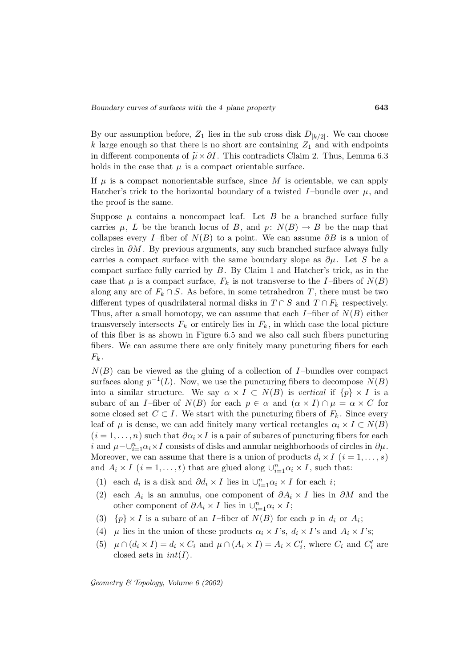By our assumption before,  $Z_1$  lies in the sub cross disk  $D_{k/2}$ . We can choose k large enough so that there is no short arc containing  $Z_1$  and with endpoints in different components of  $\tilde{\mu} \times \partial I$ . This contradicts Claim 2. Thus, Lemma 6.3 holds in the case that  $\mu$  is a compact orientable surface.

If  $\mu$  is a compact nonorientable surface, since M is orientable, we can apply Hatcher's trick to the horizontal boundary of a twisted I-bundle over  $\mu$ , and the proof is the same.

Suppose  $\mu$  contains a noncompact leaf. Let B be a branched surface fully carries  $\mu$ , L be the branch locus of B, and  $p: N(B) \to B$  be the map that collapses every I–fiber of  $N(B)$  to a point. We can assume  $\partial B$  is a union of circles in  $\partial M$ . By previous arguments, any such branched surface always fully carries a compact surface with the same boundary slope as  $\partial \mu$ . Let S be a compact surface fully carried by  $B$ . By Claim 1 and Hatcher's trick, as in the case that  $\mu$  is a compact surface,  $F_k$  is not transverse to the I-fibers of  $N(B)$ along any arc of  $F_k \cap S$ . As before, in some tetrahedron T, there must be two different types of quadrilateral normal disks in  $T \cap S$  and  $T \cap F_k$  respectively. Thus, after a small homotopy, we can assume that each  $I$ -fiber of  $N(B)$  either transversely intersects  $F_k$  or entirely lies in  $F_k$ , in which case the local picture of this fiber is as shown in Figure 6.5 and we also call such fibers puncturing fibers. We can assume there are only finitely many puncturing fibers for each  $F_k$ .

 $N(B)$  can be viewed as the gluing of a collection of I-bundles over compact surfaces along  $p^{-1}(L)$ . Now, we use the puncturing fibers to decompose  $N(B)$ into a similar structure. We say  $\alpha \times I \subset N(B)$  is vertical if  $\{p\} \times I$  is a subarc of an I-fiber of  $N(B)$  for each  $p \in \alpha$  and  $(\alpha \times I) \cap \mu = \alpha \times C$  for some closed set  $C \subset I$ . We start with the puncturing fibers of  $F_k$ . Since every leaf of  $\mu$  is dense, we can add finitely many vertical rectangles  $\alpha_i \times I \subset N(B)$  $(i = 1, \ldots, n)$  such that  $\partial \alpha_i \times I$  is a pair of subarcs of puncturing fibers for each i and  $\mu-\bigcup_{i=1}^n\alpha_i\times I$  consists of disks and annular neighborhoods of circles in  $\partial\mu$ . Moreover, we can assume that there is a union of products  $d_i \times I$   $(i = 1, \ldots, s)$ and  $A_i \times I$   $(i = 1, ..., t)$  that are glued along  $\cup_{i=1}^{n} \alpha_i \times I$ , such that:

- (1) each  $d_i$  is a disk and  $\partial d_i \times I$  lies in  $\bigcup_{i=1}^n \alpha_i \times I$  for each *i*;
- (2) each  $A_i$  is an annulus, one component of  $\partial A_i \times I$  lies in  $\partial M$  and the other component of  $\partial A_i \times I$  lies in  $\cup_{i=1}^n \alpha_i \times I$ ;
- (3)  $\{p\} \times I$  is a subarc of an *I*-fiber of  $N(B)$  for each p in  $d_i$  or  $A_i$ ;
- (4)  $\mu$  lies in the union of these products  $\alpha_i \times I$ 's,  $d_i \times I$ 's and  $A_i \times I$ 's;
- (5)  $\mu \cap (d_i \times I) = d_i \times C_i$  and  $\mu \cap (A_i \times I) = A_i \times C'_i$ , where  $C_i$  and  $C'_i$  are closed sets in  $int(I)$ .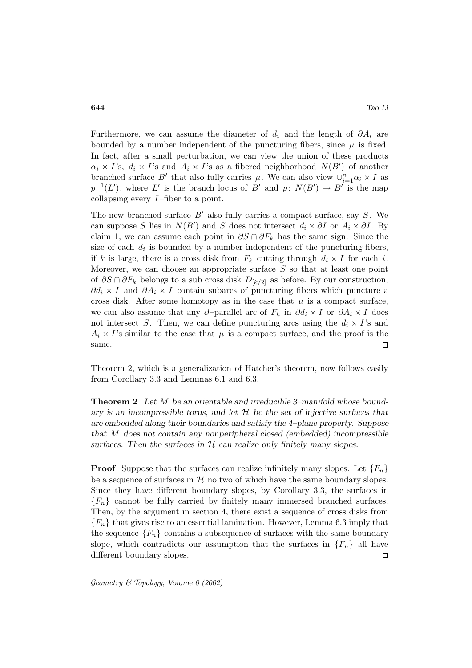Furthermore, we can assume the diameter of  $d_i$  and the length of  $\partial A_i$  are bounded by a number independent of the puncturing fibers, since  $\mu$  is fixed. In fact, after a small perturbation, we can view the union of these products  $\alpha_i \times I$ 's,  $d_i \times I$ 's and  $A_i \times I$ 's as a fibered neighborhood  $N(B')$  of another branched surface B' that also fully carries  $\mu$ . We can also view  $\cup_{i=1}^{n} \alpha_i \times I$  as  $p^{-1}(L')$ , where L' is the branch locus of B' and p:  $N(B') \to B'$  is the map collapsing every  $I$ -fiber to a point.

The new branched surface  $B'$  also fully carries a compact surface, say S. We can suppose S lies in  $N(B')$  and S does not intersect  $d_i \times \partial I$  or  $A_i \times \partial I$ . By claim 1, we can assume each point in  $\partial S \cap \partial F_k$  has the same sign. Since the size of each  $d_i$  is bounded by a number independent of the puncturing fibers, if k is large, there is a cross disk from  $F_k$  cutting through  $d_i \times I$  for each i. Moreover, we can choose an appropriate surface S so that at least one point of  $\partial S \cap \partial F_k$  belongs to a sub cross disk  $D_{k/2}$  as before. By our construction,  $\partial d_i \times I$  and  $\partial A_i \times I$  contain subarcs of puncturing fibers which puncture a cross disk. After some homotopy as in the case that  $\mu$  is a compact surface, we can also assume that any ∂–parallel arc of  $F_k$  in  $\partial d_i \times I$  or  $\partial A_i \times I$  does not intersect S. Then, we can define puncturing arcs using the  $d_i \times I$ 's and  $A_i \times I$ 's similar to the case that  $\mu$  is a compact surface, and the proof is the same.  $\Box$ 

Theorem 2, which is a generalization of Hatcher's theorem, now follows easily from Corollary 3.3 and Lemmas 6.1 and 6.3.

**Theorem 2** *Let* M *be an orientable and irreducible 3–manifold whose boundary is an incompressible torus, and let* H *be the set of injective surfaces that are embedded along their boundaries and satisfy the 4–plane property. Suppose that* M *does not contain any nonperipheral closed (embedded) incompressible surfaces. Then the surfaces in* H *can realize only finitely many slopes.*

**Proof** Suppose that the surfaces can realize infinitely many slopes. Let  ${F_n}$ be a sequence of surfaces in  $H$  no two of which have the same boundary slopes. Since they have different boundary slopes, by Corollary 3.3, the surfaces in  ${F_n}$  cannot be fully carried by finitely many immersed branched surfaces. Then, by the argument in section 4, there exist a sequence of cross disks from  ${F_n}$  that gives rise to an essential lamination. However, Lemma 6.3 imply that the sequence  ${F_n}$  contains a subsequence of surfaces with the same boundary slope, which contradicts our assumption that the surfaces in  ${F_n}$  all have different boundary slopes.  $\Box$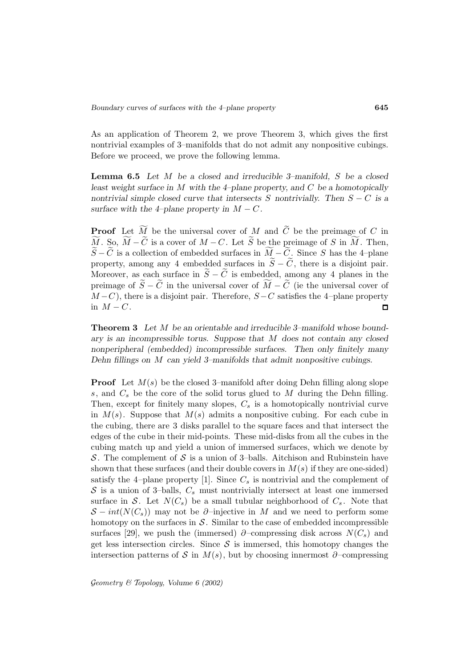As an application of Theorem 2, we prove Theorem 3, which gives the first nontrivial examples of 3–manifolds that do not admit any nonpositive cubings. Before we proceed, we prove the following lemma.

**Lemma 6.5** *Let* M *be a closed and irreducible 3–manifold,* S *be a closed least weight surface in* M *with the 4–plane property, and* C *be a homotopically nontrivial simple closed curve that intersects* S *nontrivially. Then* S − C *is a surface with the 4–plane property in*  $M - C$ *.* 

**Proof** Let  $M$  be the universal cover of M and C be the preimage of C in  $M.$  So,  $M-C$  is a cover of  $M-C$ . Let S be the preimage of S in M. Then,  $S-C$  is a collection of embedded surfaces in  $M_{\sim}-C_{\sim}$ . Since S has the 4–plane property, among any 4 embedded surfaces in  $\widetilde{S} - \widetilde{C}$ , there is a disjoint pair. Moreover, as each surface in  $\widetilde{S} - \widetilde{C}$  is embedded, among any 4 planes in the preimage of  $S - C$  in the universal cover of  $M - C$  (ie the universal cover of  $M - C$ ), there is a disjoint pair. Therefore,  $S - C$  satisfies the 4–plane property in  $M - C$ .  $\Box$ 

**Theorem 3** *Let* M *be an orientable and irreducible 3–manifold whose boundary is an incompressible torus. Suppose that* M *does not contain any closed nonperipheral (embedded) incompressible surfaces. Then only finitely many Dehn fillings on* M *can yield 3–manifolds that admit nonpositive cubings.*

**Proof** Let  $M(s)$  be the closed 3–manifold after doing Dehn filling along slope  $s$ , and  $C_s$  be the core of the solid torus glued to  $M$  during the Dehn filling. Then, except for finitely many slopes,  $C_s$  is a homotopically nontrivial curve in  $M(s)$ . Suppose that  $M(s)$  admits a nonpositive cubing. For each cube in the cubing, there are 3 disks parallel to the square faces and that intersect the edges of the cube in their mid-points. These mid-disks from all the cubes in the cubing match up and yield a union of immersed surfaces, which we denote by S. The complement of S is a union of 3–balls. Aitchison and Rubinstein have shown that these surfaces (and their double covers in  $M(s)$  if they are one-sided) satisfy the 4–plane property [1]. Since  $C_s$  is nontrivial and the complement of  $S$  is a union of 3-balls,  $C_s$  must nontrivially intersect at least one immersed surface in S. Let  $N(C_s)$  be a small tubular neighborhood of  $C_s$ . Note that  $S-int(N(C_s))$  may not be ∂–injective in M and we need to perform some homotopy on the surfaces in  $\mathcal S$ . Similar to the case of embedded incompressible surfaces [29], we push the (immersed) ∂–compressing disk across  $N(C_s)$  and get less intersection circles. Since  $S$  is immersed, this homotopy changes the intersection patterns of S in  $M(s)$ , but by choosing innermost ∂–compressing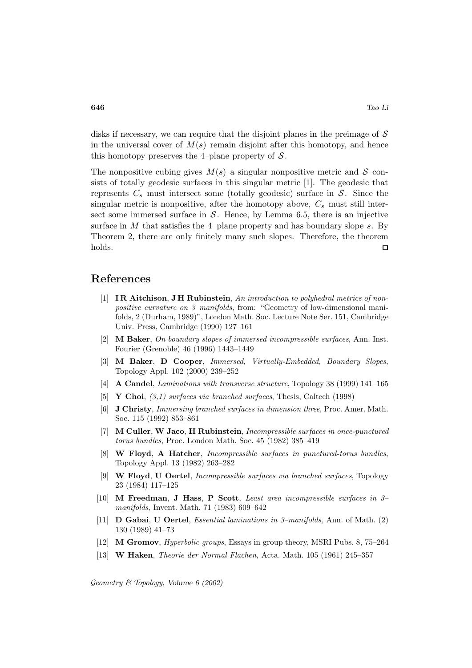disks if necessary, we can require that the disjoint planes in the preimage of  $\mathcal S$ in the universal cover of  $M(s)$  remain disjoint after this homotopy, and hence this homotopy preserves the 4–plane property of  $\mathcal{S}$ .

The nonpositive cubing gives  $M(s)$  a singular nonpositive metric and S consists of totally geodesic surfaces in this singular metric [1]. The geodesic that represents  $C_s$  must intersect some (totally geodesic) surface in  $S$ . Since the singular metric is nonpositive, after the homotopy above,  $C_s$  must still intersect some immersed surface in  $S$ . Hence, by Lemma 6.5, there is an injective surface in  $M$  that satisfies the 4–plane property and has boundary slope  $s$ . By Theorem 2, there are only finitely many such slopes. Therefore, the theorem holds.  $\Box$ 

### **References**

- [1] **I R Aitchison**, **J H Rubinstein**, An introduction to polyhedral metrics of nonpositive curvature on 3–manifolds, from: "Geometry of low-dimensional manifolds, 2 (Durham, 1989)", London Math. Soc. Lecture Note Ser. 151, Cambridge Univ. Press, Cambridge (1990) 127–161
- [2] **M Baker**, On boundary slopes of immersed incompressible surfaces, Ann. Inst. Fourier (Grenoble) 46 (1996) 1443–1449
- [3] **M Baker**, **D Cooper**, Immersed, Virtually-Embedded, Boundary Slopes, Topology Appl. 102 (2000) 239–252
- [4] **A Candel**, Laminations with transverse structure, Topology 38 (1999) 141–165
- [5] **Y Choi**, (3,1) surfaces via branched surfaces, Thesis, Caltech (1998)
- [6] **J Christy**, Immersing branched surfaces in dimension three, Proc. Amer. Math. Soc. 115 (1992) 853–861
- [7] **M Culler**, **W Jaco**, **H Rubinstein**, Incompressible surfaces in once-punctured torus bundles, Proc. London Math. Soc. 45 (1982) 385–419
- [8] **W Floyd**, **A Hatcher**, Incompressible surfaces in punctured-torus bundles, Topology Appl. 13 (1982) 263–282
- [9] **W Floyd**, **U Oertel**, Incompressible surfaces via branched surfaces, Topology 23 (1984) 117–125
- [10] **M Freedman**, **J Hass**, **P Scott**, Least area incompressible surfaces in 3– manifolds, Invent. Math. 71 (1983) 609–642
- [11] **D Gabai**, **U Oertel**, Essential laminations in 3–manifolds, Ann. of Math. (2) 130 (1989) 41–73
- [12] **M Gromov**, Hyperbolic groups, Essays in group theory, MSRI Pubs. 8, 75–264
- [13] **W Haken**, Theorie der Normal Flachen, Acta. Math. 105 (1961) 245–357